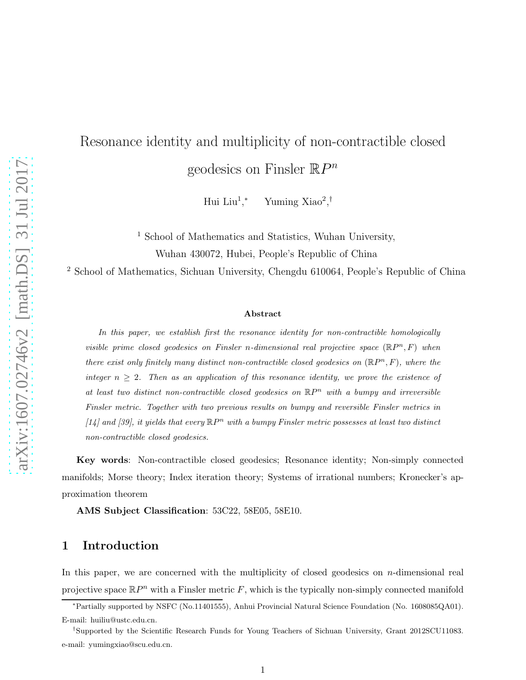# Resonance identity and multiplicity of non-contractible closed geodesics on Finsler  $\mathbb{R}P^n$

 ${\rm Hui\; Liu^1},$ <sup>∗</sup> Yuming Xiao<sup>2</sup> , †

<sup>1</sup> School of Mathematics and Statistics, Wuhan University, Wuhan 430072, Hubei, People's Republic of China

<sup>2</sup> School of Mathematics, Sichuan University, Chengdu 610064, People's Republic of China

#### Abstract

In this paper, we establish first the resonance identity for non-contractible homologically visible prime closed geodesics on Finsler n-dimensional real projective space  $(\mathbb{R}P^n, F)$  when there exist only finitely many distinct non-contractible closed geodesics on  $(\mathbb{R}P^n, F)$ , where the integer  $n \geq 2$ . Then as an application of this resonance identity, we prove the existence of at least two distinct non-contractible closed geodesics on  $\mathbb{R}P^n$  with a bumpy and irreversible Finsler metric. Together with two previous results on bumpy and reversible Finsler metrics in [14] and [39], it yields that every  $\mathbb{R}P^n$  with a bumpy Finsler metric possesses at least two distinct non-contractible closed geodesics.

Key words: Non-contractible closed geodesics; Resonance identity; Non-simply connected manifolds; Morse theory; Index iteration theory; Systems of irrational numbers; Kronecker's approximation theorem

AMS Subject Classification: 53C22, 58E05, 58E10.

### 1 Introduction

In this paper, we are concerned with the multiplicity of closed geodesics on  $n$ -dimensional real projective space  $\mathbb{R}P^n$  with a Finsler metric F, which is the typically non-simply connected manifold

<sup>∗</sup>Partially supported by NSFC (No.11401555), Anhui Provincial Natural Science Foundation (No. 1608085QA01). E-mail: huiliu@ustc.edu.cn.

<sup>†</sup> Supported by the Scientific Research Funds for Young Teachers of Sichuan University, Grant 2012SCU11083. e-mail: yumingxiao@scu.edu.cn.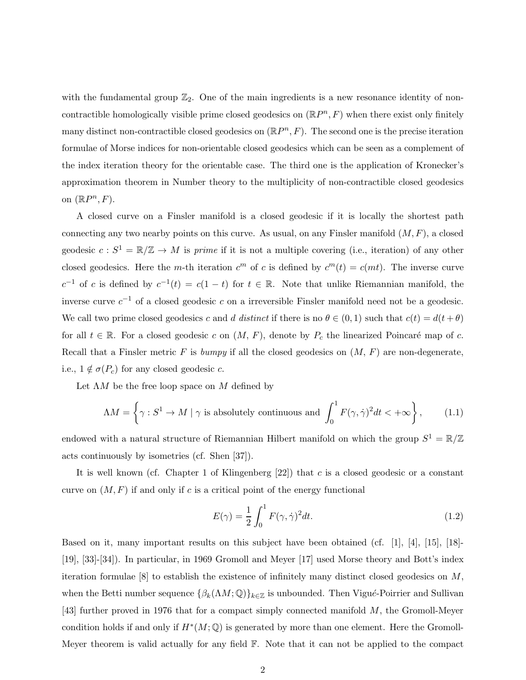with the fundamental group  $\mathbb{Z}_2$ . One of the main ingredients is a new resonance identity of noncontractible homologically visible prime closed geodesics on  $(\mathbb{R}P^n, F)$  when there exist only finitely many distinct non-contractible closed geodesics on  $(\mathbb{R}P^n, F)$ . The second one is the precise iteration formulae of Morse indices for non-orientable closed geodesics which can be seen as a complement of the index iteration theory for the orientable case. The third one is the application of Kronecker's approximation theorem in Number theory to the multiplicity of non-contractible closed geodesics on  $(\mathbb{R}P^n, F)$ .

A closed curve on a Finsler manifold is a closed geodesic if it is locally the shortest path connecting any two nearby points on this curve. As usual, on any Finsler manifold  $(M, F)$ , a closed geodesic  $c: S^1 = \mathbb{R}/\mathbb{Z} \to M$  is prime if it is not a multiple covering (i.e., iteration) of any other closed geodesics. Here the m-th iteration  $c^m$  of c is defined by  $c^m(t) = c(mt)$ . The inverse curve  $c^{-1}$  of c is defined by  $c^{-1}(t) = c(1-t)$  for  $t \in \mathbb{R}$ . Note that unlike Riemannian manifold, the inverse curve  $c^{-1}$  of a closed geodesic c on a irreversible Finsler manifold need not be a geodesic. We call two prime closed geodesics c and d distinct if there is no  $\theta \in (0,1)$  such that  $c(t) = d(t + \theta)$ for all  $t \in \mathbb{R}$ . For a closed geodesic c on  $(M, F)$ , denote by  $P_c$  the linearized Poincaré map of c. Recall that a Finsler metric F is bumpy if all the closed geodesics on  $(M, F)$  are non-degenerate, i.e.,  $1 \notin \sigma(P_c)$  for any closed geodesic c.

Let  $\Lambda M$  be the free loop space on M defined by

$$
\Lambda M = \left\{ \gamma : S^1 \to M \mid \gamma \text{ is absolutely continuous and } \int_0^1 F(\gamma, \dot{\gamma})^2 dt < +\infty \right\},\qquad(1.1)
$$

endowed with a natural structure of Riemannian Hilbert manifold on which the group  $S^1 = \mathbb{R}/\mathbb{Z}$ acts continuously by isometries (cf. Shen [37]).

It is well known (cf. Chapter 1 of Klingenberg  $[22]$ ) that c is a closed geodesic or a constant curve on  $(M, F)$  if and only if c is a critical point of the energy functional

$$
E(\gamma) = \frac{1}{2} \int_0^1 F(\gamma, \dot{\gamma})^2 dt.
$$
\n(1.2)

Based on it, many important results on this subject have been obtained (cf. [1], [4], [15], [18]- [19], [33]-[34]). In particular, in 1969 Gromoll and Meyer [17] used Morse theory and Bott's index iteration formulae  $[8]$  to establish the existence of infinitely many distinct closed geodesics on M. when the Betti number sequence  $\{\beta_k(\Lambda M; \mathbb Q)\}_{k\in \mathbb Z}$  is unbounded. Then Vigué-Poirrier and Sullivan [43] further proved in 1976 that for a compact simply connected manifold M, the Gromoll-Meyer condition holds if and only if  $H^*(M; \mathbb{Q})$  is generated by more than one element. Here the Gromoll-Meyer theorem is valid actually for any field F. Note that it can not be applied to the compact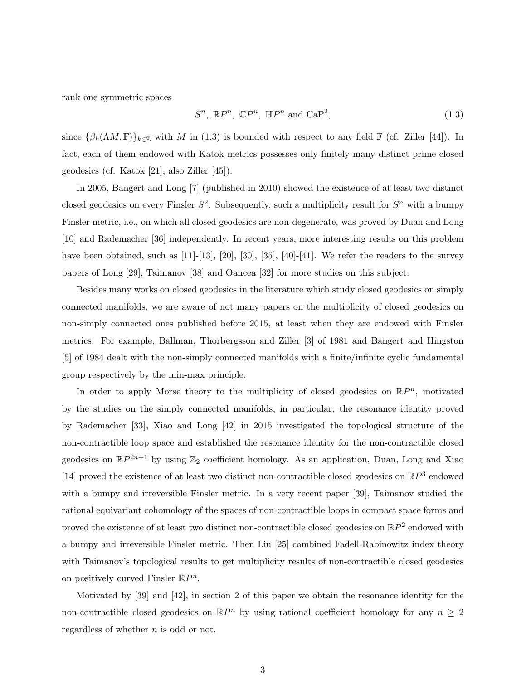rank one symmetric spaces

$$
S^n, \mathbb{R}P^n, \mathbb{C}P^n, \mathbb{H}P^n \text{ and } \mathbf{CaP}^2,
$$
\n
$$
(1.3)
$$

since  $\{\beta_k(\Lambda M, \mathbb{F})\}_{k\in\mathbb{Z}}$  with M in (1.3) is bounded with respect to any field  $\mathbb{F}$  (cf. Ziller [44]). In fact, each of them endowed with Katok metrics possesses only finitely many distinct prime closed geodesics (cf. Katok [21], also Ziller [45]).

In 2005, Bangert and Long [7] (published in 2010) showed the existence of at least two distinct closed geodesics on every Finsler  $S^2$ . Subsequently, such a multiplicity result for  $S^n$  with a bumpy Finsler metric, i.e., on which all closed geodesics are non-degenerate, was proved by Duan and Long [10] and Rademacher [36] independently. In recent years, more interesting results on this problem have been obtained, such as  $[11]-[13]$ ,  $[20]$ ,  $[30]$ ,  $[35]$ ,  $[40]-[41]$ . We refer the readers to the survey papers of Long [29], Taimanov [38] and Oancea [32] for more studies on this subject.

Besides many works on closed geodesics in the literature which study closed geodesics on simply connected manifolds, we are aware of not many papers on the multiplicity of closed geodesics on non-simply connected ones published before 2015, at least when they are endowed with Finsler metrics. For example, Ballman, Thorbergsson and Ziller [3] of 1981 and Bangert and Hingston [5] of 1984 dealt with the non-simply connected manifolds with a finite/infinite cyclic fundamental group respectively by the min-max principle.

In order to apply Morse theory to the multiplicity of closed geodesics on  $\mathbb{R}P^n$ , motivated by the studies on the simply connected manifolds, in particular, the resonance identity proved by Rademacher [33], Xiao and Long [42] in 2015 investigated the topological structure of the non-contractible loop space and established the resonance identity for the non-contractible closed geodesics on  $\mathbb{R}P^{2n+1}$  by using  $\mathbb{Z}_2$  coefficient homology. As an application, Duan, Long and Xiao [14] proved the existence of at least two distinct non-contractible closed geodesics on  $\mathbb{R}P^3$  endowed with a bumpy and irreversible Finsler metric. In a very recent paper [39], Taimanov studied the rational equivariant cohomology of the spaces of non-contractible loops in compact space forms and proved the existence of at least two distinct non-contractible closed geodesics on  $\mathbb{R}P^2$  endowed with a bumpy and irreversible Finsler metric. Then Liu [25] combined Fadell-Rabinowitz index theory with Taimanov's topological results to get multiplicity results of non-contractible closed geodesics on positively curved Finsler  $\mathbb{R}P^n$ .

Motivated by [39] and [42], in section 2 of this paper we obtain the resonance identity for the non-contractible closed geodesics on  $\mathbb{R}P^n$  by using rational coefficient homology for any  $n \geq 2$ regardless of whether n is odd or not.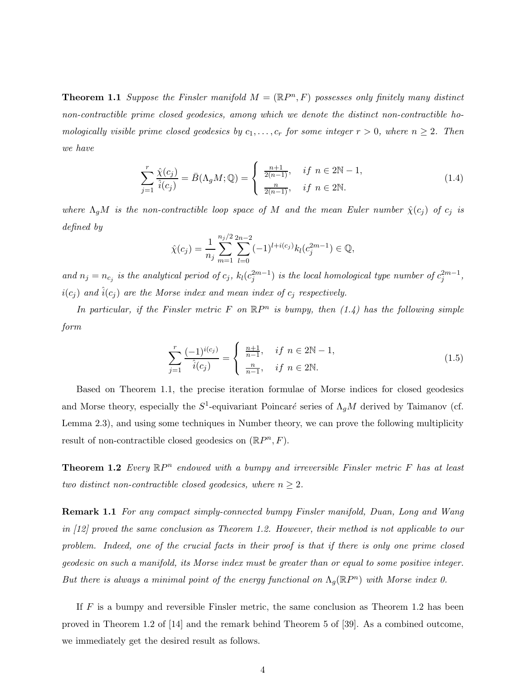**Theorem 1.1** Suppose the Finsler manifold  $M = (\mathbb{R}P^n, F)$  possesses only finitely many distinct non-contractible prime closed geodesics, among which we denote the distinct non-contractible homologically visible prime closed geodesics by  $c_1, \ldots, c_r$  for some integer  $r > 0$ , where  $n \geq 2$ . Then we have

$$
\sum_{j=1}^{r} \frac{\hat{\chi}(c_j)}{\hat{i}(c_j)} = \bar{B}(\Lambda_g M; \mathbb{Q}) = \begin{cases} \frac{n+1}{2(n-1)}, & \text{if } n \in 2\mathbb{N} - 1, \\ \frac{n}{2(n-1)}, & \text{if } n \in 2\mathbb{N}. \end{cases}
$$
(1.4)

where  $\Lambda_g M$  is the non-contractible loop space of M and the mean Euler number  $\hat{\chi}(c_j)$  of  $c_j$  is defined by

$$
\hat{\chi}(c_j) = \frac{1}{n_j} \sum_{m=1}^{n_j/2} \sum_{l=0}^{2n-2} (-1)^{l+i(c_j)} k_l(c_j^{2m-1}) \in \mathbb{Q},
$$

and  $n_j = n_{c_j}$  is the analytical period of  $c_j$ ,  $k_l(c_j^{2m-1})$  is the local homological type number of  $c_j^{2m-1}$ ,  $i(c_i)$  and  $\hat{i}(c_i)$  are the Morse index and mean index of  $c_i$  respectively.

In particular, if the Finsler metric F on  $\mathbb{R}P^n$  is bumpy, then  $(1.4)$  has the following simple form

$$
\sum_{j=1}^{r} \frac{(-1)^{i(c_j)}}{\hat{i}(c_j)} = \begin{cases} \frac{n+1}{n-1}, & \text{if } n \in 2\mathbb{N} - 1, \\ \frac{n}{n-1}, & \text{if } n \in 2\mathbb{N}. \end{cases}
$$
(1.5)

Based on Theorem 1.1, the precise iteration formulae of Morse indices for closed geodesics and Morse theory, especially the  $S^1$ -equivariant Poincaré series of  $\Lambda_g M$  derived by Taimanov (cf. Lemma 2.3), and using some techniques in Number theory, we can prove the following multiplicity result of non-contractible closed geodesics on  $(\mathbb{R}P^n, F)$ .

**Theorem 1.2** Every  $\mathbb{R}P^n$  endowed with a bumpy and irreversible Finsler metric F has at least two distinct non-contractible closed geodesics, where  $n \geq 2$ .

Remark 1.1 For any compact simply-connected bumpy Finsler manifold, Duan, Long and Wang in [12] proved the same conclusion as Theorem 1.2. However, their method is not applicable to our problem. Indeed, one of the crucial facts in their proof is that if there is only one prime closed geodesic on such a manifold, its Morse index must be greater than or equal to some positive integer. But there is always a minimal point of the energy functional on  $\Lambda_g(\mathbb{R}P^n)$  with Morse index 0.

If  $F$  is a bumpy and reversible Finsler metric, the same conclusion as Theorem 1.2 has been proved in Theorem 1.2 of [14] and the remark behind Theorem 5 of [39]. As a combined outcome, we immediately get the desired result as follows.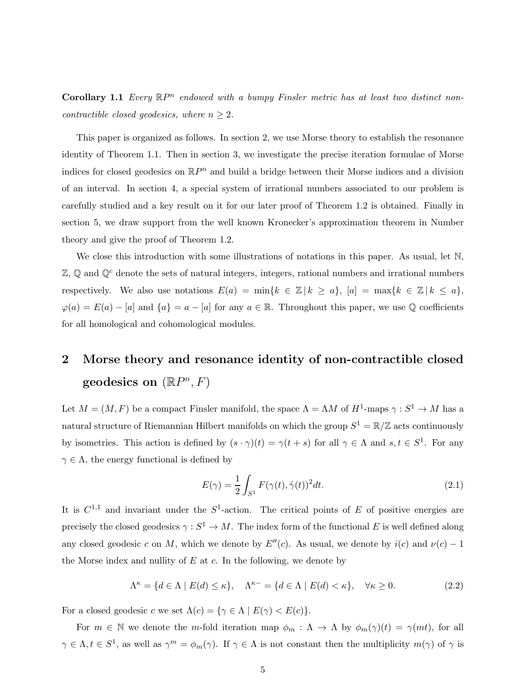**Corollary 1.1** Every  $\mathbb{R}P^n$  endowed with a bumpy Finsler metric has at least two distinct noncontractible closed geodesics, where  $n \geq 2$ .

This paper is organized as follows. In section 2, we use Morse theory to establish the resonance identity of Theorem 1.1. Then in section 3, we investigate the precise iteration formulae of Morse indices for closed geodesics on  $\mathbb{R}P^n$  and build a bridge between their Morse indices and a division of an interval. In section 4, a special system of irrational numbers associated to our problem is carefully studied and a key result on it for our later proof of Theorem 1.2 is obtained. Finally in section 5, we draw support from the well known Kronecker's approximation theorem in Number theory and give the proof of Theorem 1.2.

We close this introduction with some illustrations of notations in this paper. As usual, let N,  $\mathbb{Z}, \mathbb{Q}$  and  $\mathbb{Q}^c$  denote the sets of natural integers, integers, rational numbers and irrational numbers respectively. We also use notations  $E(a) = \min\{k \in \mathbb{Z} \mid k \geq a\}, |a| = \max\{k \in \mathbb{Z} \mid k \leq a\}$  $\varphi(a) = E(a) - [a]$  and  $\{a\} = a - [a]$  for any  $a \in \mathbb{R}$ . Throughout this paper, we use Q coefficients for all homological and cohomological modules.

# 2 Morse theory and resonance identity of non-contractible closed geodesics on  $(\mathbb{R}P^n, F)$

Let  $M = (M, F)$  be a compact Finsler manifold, the space  $\Lambda = \Lambda M$  of  $H^1$ -maps  $\gamma : S^1 \to M$  has a natural structure of Riemannian Hilbert manifolds on which the group  $S^1 = \mathbb{R}/\mathbb{Z}$  acts continuously by isometries. This action is defined by  $(s \cdot \gamma)(t) = \gamma(t + s)$  for all  $\gamma \in \Lambda$  and  $s, t \in S^1$ . For any  $\gamma \in \Lambda$ , the energy functional is defined by

$$
E(\gamma) = \frac{1}{2} \int_{S^1} F(\gamma(t), \dot{\gamma}(t))^2 dt.
$$
\n(2.1)

It is  $C^{1,1}$  and invariant under the  $S^1$ -action. The critical points of E of positive energies are precisely the closed geodesics  $\gamma : S^1 \to M$ . The index form of the functional E is well defined along any closed geodesic c on M, which we denote by  $E''(c)$ . As usual, we denote by  $i(c)$  and  $\nu(c) - 1$ the Morse index and nullity of  $E$  at  $c$ . In the following, we denote by

 $\Lambda^{\kappa} = \{d \in \Lambda \mid E(d) \leq \kappa\}, \quad \Lambda^{\kappa-} = \{d \in \Lambda \mid E(d) < \kappa\}, \quad \forall \kappa \geq 0.$ (2.2)

For a closed geodesic c we set  $\Lambda(c) = \{ \gamma \in \Lambda \mid E(\gamma) < E(c) \}.$ 

For  $m \in \mathbb{N}$  we denote the m-fold iteration map  $\phi_m : \Lambda \to \Lambda$  by  $\phi_m(\gamma)(t) = \gamma(mt)$ , for all  $\gamma \in \Lambda, t \in S^1$ , as well as  $\gamma^m = \phi_m(\gamma)$ . If  $\gamma \in \Lambda$  is not constant then the multiplicity  $m(\gamma)$  of  $\gamma$  is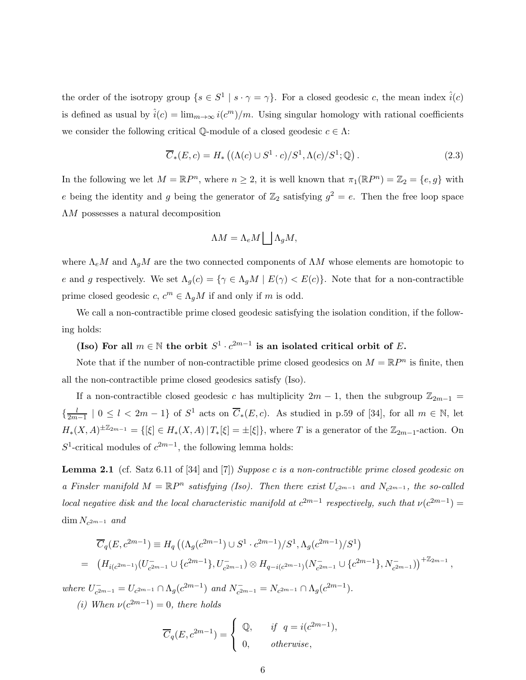the order of the isotropy group  $\{s \in S^1 \mid s \cdot \gamma = \gamma\}$ . For a closed geodesic c, the mean index  $\hat{i}(c)$ is defined as usual by  $\hat{i}(c) = \lim_{m \to \infty} i(c^m)/m$ . Using singular homology with rational coefficients we consider the following critical Q-module of a closed geodesic  $c \in \Lambda$ :

$$
\overline{C}_*(E,c) = H_*\left( (\Lambda(c) \cup S^1 \cdot c) / S^1, \Lambda(c) / S^1; \mathbb{Q} \right). \tag{2.3}
$$

In the following we let  $M = \mathbb{R}P^n$ , where  $n \geq 2$ , it is well known that  $\pi_1(\mathbb{R}P^n) = \mathbb{Z}_2 = \{e, g\}$  with e being the identity and g being the generator of  $\mathbb{Z}_2$  satisfying  $g^2 = e$ . Then the free loop space ΛM possesses a natural decomposition

$$
\Lambda M = \Lambda_e M \bigsqcup \Lambda_g M,
$$

where  $\Lambda_e M$  and  $\Lambda_g M$  are the two connected components of  $\Lambda M$  whose elements are homotopic to e and g respectively. We set  $\Lambda_g(c) = \{ \gamma \in \Lambda_g M \mid E(\gamma) < E(c) \}.$  Note that for a non-contractible prime closed geodesic  $c, c^m \in \Lambda_g M$  if and only if m is odd.

We call a non-contractible prime closed geodesic satisfying the isolation condition, if the following holds:

(Iso) For all  $m \in \mathbb{N}$  the orbit  $S^1 \cdot c^{2m-1}$  is an isolated critical orbit of E.

Note that if the number of non-contractible prime closed geodesics on  $M = \mathbb{R}P^n$  is finite, then all the non-contractible prime closed geodesics satisfy (Iso).

If a non-contractible closed geodesic c has multiplicity  $2m - 1$ , then the subgroup  $\mathbb{Z}_{2m-1}$  =  $\left\{\frac{l}{2m}\right\}$  $\frac{l}{2m-1}$  | 0 ≤  $l < 2m-1$ } of  $S^1$  acts on  $\overline{C}_*(E,c)$ . As studied in p.59 of [34], for all  $m \in \mathbb{N}$ , let  $H_*(X,A)^{\pm \mathbb{Z}_{2m-1}} = \{[\xi] \in H_*(X,A) | T_*[\xi] = \pm [\xi]\},\$  where T is a generator of the  $\mathbb{Z}_{2m-1}$ -action. On  $S^1$ -critical modules of  $c^{2m-1}$ , the following lemma holds:

Lemma 2.1 (cf. Satz 6.11 of [34] and [7]) Suppose c is a non-contractible prime closed geodesic on a Finsler manifold  $M = \mathbb{R}P^n$  satisfying (Iso). Then there exist  $U_{c^{2m-1}}$  and  $N_{c^{2m-1}}$ , the so-called local negative disk and the local characteristic manifold at  $c^{2m-1}$  respectively, such that  $\nu(c^{2m-1}) =$  $\dim N_{c^{2m-1}}$  and

$$
\overline{C}_q(E, c^{2m-1}) \equiv H_q((\Lambda_g(c^{2m-1}) \cup S^1 \cdot c^{2m-1})/S^1, \Lambda_g(c^{2m-1})/S^1)
$$
  
=  $(H_{i(c^{2m-1})}(U_{c^{2m-1}}^{-} \cup \{c^{2m-1}\}, U_{c^{2m-1}}^{-}) \otimes H_{q-i(c^{2m-1})}(N_{c^{2m-1}}^{-} \cup \{c^{2m-1}\}, N_{c^{2m-1}}^{-})^{+\mathbb{Z}_{2m-1}},$ 

where  $U_{c^2}^ \bar{C}_{c^{2m-1}} = U_{c^{2m-1}} \cap \Lambda_g(c^{2m-1})$  and  $N_{c^{2m}}$  $\bar{C}_{c^{2m-1}}^{-} = N_{c^{2m-1}} \cap \Lambda_g(c^{2m-1}).$ 

(i) When  $\nu(c^{2m-1})=0$ , there holds

$$
\overline{C}_q(E, c^{2m-1}) = \begin{cases} \mathbb{Q}, & \text{if } q = i(c^{2m-1}), \\ 0, & \text{otherwise}, \end{cases}
$$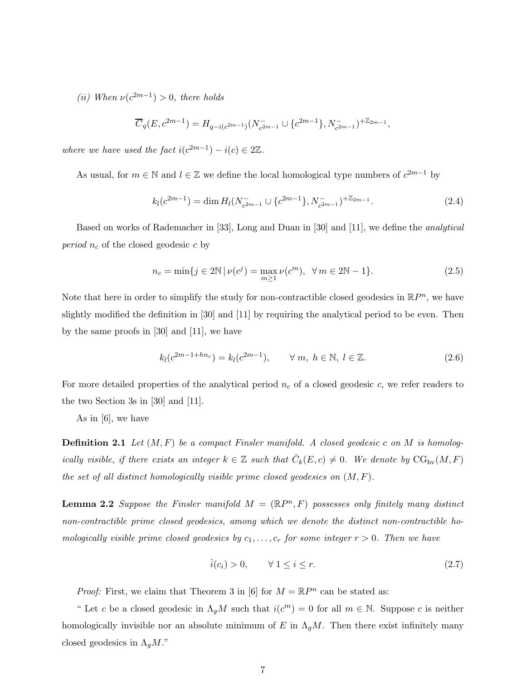(*ii*) When  $\nu(c^{2m-1}) > 0$ , there holds

$$
\overline{C}_q(E, c^{2m-1}) = H_{q-i(c^{2m-1})}(N_{c^{2m-1}}^- \cup \{c^{2m-1}\}, N_{c^{2m-1}}^-)^{+\mathbb{Z}_{2m-1}},
$$

where we have used the fact  $i(c^{2m-1}) - i(c) \in 2\mathbb{Z}$ .

As usual, for  $m \in \mathbb{N}$  and  $l \in \mathbb{Z}$  we define the local homological type numbers of  $c^{2m-1}$  by

$$
k_l(c^{2m-1}) = \dim H_l(N_{c^{2m-1}}^- \cup \{c^{2m-1}\}, N_{c^{2m-1}}^-)^{+\mathbb{Z}_{2m-1}}.
$$
\n(2.4)

Based on works of Rademacher in [33], Long and Duan in [30] and [11], we define the analytical *period*  $n_c$  of the closed geodesic c by

$$
n_c = \min\{j \in 2\mathbb{N} \mid \nu(c^j) = \max_{m \ge 1} \nu(c^m), \ \forall m \in 2\mathbb{N} - 1\}.
$$
 (2.5)

Note that here in order to simplify the study for non-contractible closed geodesics in  $\mathbb{R}P^n$ , we have slightly modified the definition in [30] and [11] by requiring the analytical period to be even. Then by the same proofs in [30] and [11], we have

$$
k_l(c^{2m-1+hn_c}) = k_l(c^{2m-1}), \qquad \forall \ m, \ h \in \mathbb{N}, \ l \in \mathbb{Z}.
$$
 (2.6)

For more detailed properties of the analytical period  $n_c$  of a closed geodesic c, we refer readers to the two Section 3s in [30] and [11].

As in [6], we have

**Definition 2.1** Let  $(M, F)$  be a compact Finsler manifold. A closed geodesic c on M is homologically visible, if there exists an integer  $k \in \mathbb{Z}$  such that  $\overline{C}_k(E,c) \neq 0$ . We denote by  $\text{CG}_{\text{hv}}(M,F)$ the set of all distinct homologically visible prime closed geodesics on  $(M, F)$ .

**Lemma 2.2** Suppose the Finsler manifold  $M = (\mathbb{R}P^n, F)$  possesses only finitely many distinct non-contractible prime closed geodesics, among which we denote the distinct non-contractible homologically visible prime closed geodesics by  $c_1, \ldots, c_r$  for some integer  $r > 0$ . Then we have

$$
\hat{i}(c_i) > 0, \qquad \forall \ 1 \le i \le r. \tag{2.7}
$$

*Proof:* First, we claim that Theorem 3 in [6] for  $M = \mathbb{R}P^n$  can be stated as:

" Let c be a closed geodesic in  $\Lambda_g M$  such that  $i(c^m) = 0$  for all  $m \in \mathbb{N}$ . Suppose c is neither homologically invisible nor an absolute minimum of E in  $\Lambda_g M$ . Then there exist infinitely many closed geodesics in  $\Lambda_q M$ ."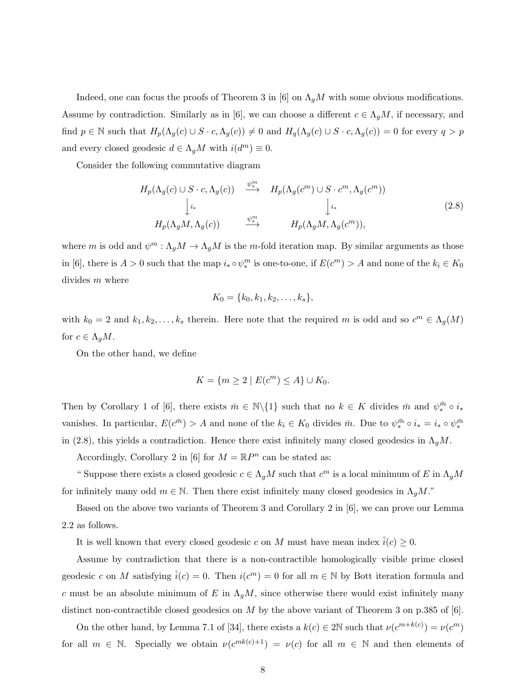Indeed, one can focus the proofs of Theorem 3 in [6] on  $\Lambda_g M$  with some obvious modifications. Assume by contradiction. Similarly as in [6], we can choose a different  $c \in \Lambda_g M$ , if necessary, and find  $p \in \mathbb{N}$  such that  $H_p(\Lambda_g(c) \cup S \cdot c, \Lambda_g(c)) \neq 0$  and  $H_q(\Lambda_g(c) \cup S \cdot c, \Lambda_g(c)) = 0$  for every  $q > p$ and every closed geodesic  $d \in \Lambda_g M$  with  $i(d^m) \equiv 0$ .

Consider the following commutative diagram

$$
H_p(\Lambda_g(c) \cup S \cdot c, \Lambda_g(c)) \xrightarrow{\psi_+^m} H_p(\Lambda_g(c^m) \cup S \cdot c^m, \Lambda_g(c^m))
$$
  
\n
$$
\downarrow_{i*} \qquad \qquad \downarrow_{i*} \qquad \qquad \downarrow_{i*} \qquad (2.8)
$$
  
\n
$$
H_p(\Lambda_g M, \Lambda_g(c)) \xrightarrow{\psi_+^m} H_p(\Lambda_g M, \Lambda_g(c^m)),
$$

where m is odd and  $\psi^m : \Lambda_g M \to \Lambda_g M$  is the m-fold iteration map. By similar arguments as those in [6], there is  $A > 0$  such that the map  $i_* \circ \psi_*^m$  is one-to-one, if  $E(c^m) > A$  and none of the  $k_i \in K_0$ divides m where

$$
K_0 = \{k_0, k_1, k_2, \ldots, k_s\},\
$$

with  $k_0 = 2$  and  $k_1, k_2, \ldots, k_s$  therein. Here note that the required m is odd and so  $c^m \in \Lambda_g(M)$ for  $c \in \Lambda_q M$ .

On the other hand, we define

$$
K = \{ m \ge 2 \mid E(c^m) \le A \} \cup K_0.
$$

Then by Corollary 1 of [6], there exists  $\bar{m} \in \mathbb{N}\setminus\{1\}$  such that no  $k \in K$  divides  $\bar{m}$  and  $\psi_*^{\bar{m}} \circ i_*$ vanishes. In particular,  $E(c^{\bar{m}}) > A$  and none of the  $k_i \in K_0$  divides  $\bar{m}$ . Due to  $\psi_*^{\bar{m}} \circ i_* = i_* \circ \psi_*^{\bar{m}}$ in (2.8), this yields a contradiction. Hence there exist infinitely many closed geodesics in  $\Lambda_q M$ .

Accordingly, Corollary 2 in [6] for  $M = \mathbb{R}P^n$  can be stated as:

" Suppose there exists a closed geodesic  $c \in \Lambda_g M$  such that  $c^m$  is a local minimum of E in  $\Lambda_g M$ for infinitely many odd  $m \in \mathbb{N}$ . Then there exist infinitely many closed geodesics in  $\Lambda_q M$ ."

Based on the above two variants of Theorem 3 and Corollary 2 in [6], we can prove our Lemma 2.2 as follows.

It is well known that every closed geodesic c on M must have mean index  $\hat{i}(c) \geq 0$ .

Assume by contradiction that there is a non-contractible homologically visible prime closed geodesic c on M satisfying  $\hat{i}(c) = 0$ . Then  $i(c^m) = 0$  for all  $m \in \mathbb{N}$  by Bott iteration formula and c must be an absolute minimum of E in  $\Lambda_g M$ , since otherwise there would exist infinitely many distinct non-contractible closed geodesics on  $M$  by the above variant of Theorem 3 on p.385 of [6].

On the other hand, by Lemma 7.1 of [34], there exists a  $k(c) \in 2\mathbb{N}$  such that  $\nu(c^{m+k(c)}) = \nu(c^m)$ for all  $m \in \mathbb{N}$ . Specially we obtain  $\nu(c^{mk(c)+1}) = \nu(c)$  for all  $m \in \mathbb{N}$  and then elements of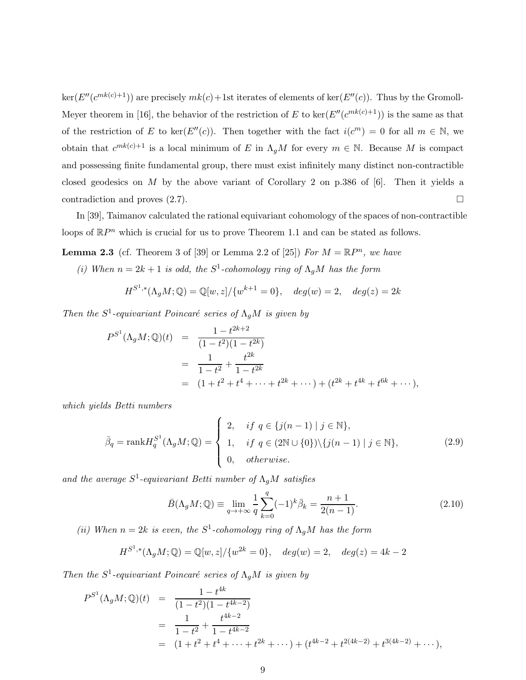$\ker(E''(c^{mk(c)+1}))$  are precisely  $mk(c) + 1$ st iterates of elements of  $\ker(E''(c))$ . Thus by the Gromoll-Meyer theorem in [16], the behavior of the restriction of E to  $\ker(E''(c^{mk(c)+1}))$  is the same as that of the restriction of E to ker( $E''(c)$ ). Then together with the fact  $i(c^m) = 0$  for all  $m \in \mathbb{N}$ , we obtain that  $c^{mk(c)+1}$  is a local minimum of E in  $\Lambda_g M$  for every  $m \in \mathbb{N}$ . Because M is compact and possessing finite fundamental group, there must exist infinitely many distinct non-contractible closed geodesics on M by the above variant of Corollary 2 on p.386 of  $[6]$ . Then it yields a contradiction and proves  $(2.7)$ .

In [39], Taimanov calculated the rational equivariant cohomology of the spaces of non-contractible loops of  $\mathbb{R}P^n$  which is crucial for us to prove Theorem 1.1 and can be stated as follows.

**Lemma 2.3** (cf. Theorem 3 of [39] or Lemma 2.2 of [25]) For  $M = \mathbb{R}P^n$ , we have

(i) When  $n = 2k + 1$  is odd, the  $S^1$ -cohomology ring of  $\Lambda_g M$  has the form

$$
H^{S^1,*}(\Lambda_g M; \mathbb{Q}) = \mathbb{Q}[w, z] / \{w^{k+1} = 0\}, \quad deg(w) = 2, \quad deg(z) = 2k
$$

Then the  $S^1$ -equivariant Poincaré series of  $\Lambda_g M$  is given by

$$
P^{S^1}(\Lambda_g M; \mathbb{Q})(t) = \frac{1 - t^{2k+2}}{(1 - t^2)(1 - t^{2k})}
$$
  
= 
$$
\frac{1}{1 - t^2} + \frac{t^{2k}}{1 - t^{2k}}
$$
  
= 
$$
(1 + t^2 + t^4 + \dots + t^{2k} + \dots) + (t^{2k} + t^{4k} + t^{6k} + \dots),
$$

which yields Betti numbers

$$
\bar{\beta}_q = \text{rank} H_q^{S^1}(\Lambda_g M; \mathbb{Q}) = \begin{cases} 2, & \text{if } q \in \{j(n-1) \mid j \in \mathbb{N}\}, \\ 1, & \text{if } q \in (2\mathbb{N} \cup \{0\}) \setminus \{j(n-1) \mid j \in \mathbb{N}\}, \\ 0, & \text{otherwise.} \end{cases} \tag{2.9}
$$

and the average  $S^1$ -equivariant Betti number of  $\Lambda_g M$  satisfies

$$
\bar{B}(\Lambda_g M; \mathbb{Q}) \equiv \lim_{q \to +\infty} \frac{1}{q} \sum_{k=0}^q (-1)^k \bar{\beta}_k = \frac{n+1}{2(n-1)}.
$$
\n(2.10)

(ii) When  $n = 2k$  is even, the  $S^1$ -cohomology ring of  $\Lambda_g M$  has the form

$$
H^{S^1,*}(\Lambda_g M; \mathbb{Q}) = \mathbb{Q}[w, z] / \{w^{2k} = 0\}, \quad deg(w) = 2, \quad deg(z) = 4k - 2
$$

Then the  $S^1$ -equivariant Poincaré series of  $\Lambda_g M$  is given by

$$
P^{S^1}(\Lambda_g M; \mathbb{Q})(t) = \frac{1 - t^{4k}}{(1 - t^2)(1 - t^{4k - 2})}
$$
  
= 
$$
\frac{1}{1 - t^2} + \frac{t^{4k - 2}}{1 - t^{4k - 2}}
$$
  
= 
$$
(1 + t^2 + t^4 + \dots + t^{2k} + \dots) + (t^{4k - 2} + t^{2(4k - 2)} + t^{3(4k - 2)} + \dots),
$$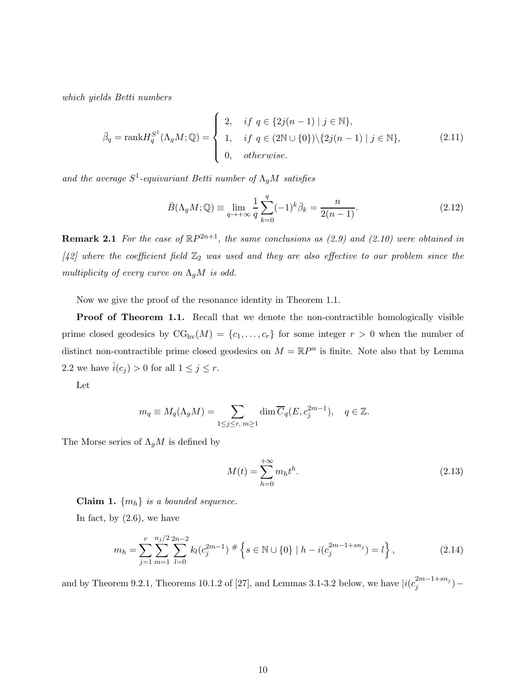which yields Betti numbers

$$
\bar{\beta}_q = \text{rank} H_q^{S^1}(\Lambda_g M; \mathbb{Q}) = \begin{cases} 2, & \text{if } q \in \{2j(n-1) \mid j \in \mathbb{N}\}, \\ 1, & \text{if } q \in (2\mathbb{N} \cup \{0\}) \setminus \{2j(n-1) \mid j \in \mathbb{N}\}, \\ 0, & \text{otherwise.} \end{cases} \tag{2.11}
$$

and the average  $S^1$ -equivariant Betti number of  $\Lambda_g M$  satisfies

$$
\bar{B}(\Lambda_g M; \mathbb{Q}) \equiv \lim_{q \to +\infty} \frac{1}{q} \sum_{k=0}^q (-1)^k \bar{\beta}_k = \frac{n}{2(n-1)}.
$$
\n(2.12)

**Remark 2.1** For the case of  $\mathbb{R}P^{2n+1}$ , the same conclusions as (2.9) and (2.10) were obtained in [42] where the coefficient field  $\mathbb{Z}_2$  was used and they are also effective to our problem since the multiplicity of every curve on  $\Lambda_g M$  is odd.

Now we give the proof of the resonance identity in Theorem 1.1.

**Proof of Theorem 1.1.** Recall that we denote the non-contractible homologically visible prime closed geodesics by  $CG_{hv}(M) = \{c_1, \ldots, c_r\}$  for some integer  $r > 0$  when the number of distinct non-contractible prime closed geodesics on  $M = \mathbb{R}P^n$  is finite. Note also that by Lemma 2.2 we have  $\hat{i}(c_j) > 0$  for all  $1 \leq j \leq r$ .

Let

$$
m_q \equiv M_q(\Lambda_g M) = \sum_{1 \le j \le r, m \ge 1} \dim \overline{C}_q(E, c_j^{2m-1}), \quad q \in \mathbb{Z}.
$$

The Morse series of  $\Lambda_g M$  is defined by

$$
M(t) = \sum_{h=0}^{+\infty} m_h t^h.
$$
 (2.13)

Claim 1.  $\{m_h\}$  is a bounded sequence.

In fact, by  $(2.6)$ , we have

$$
m_h = \sum_{j=1}^r \sum_{m=1}^{n_j/2} \sum_{l=0}^{2n-2} k_l (c_j^{2m-1})^{\#} \left\{ s \in \mathbb{N} \cup \{0\} \mid h - i(c_j^{2m-1+sn_j}) = l \right\},\tag{2.14}
$$

and by Theorem 9.2.1, Theorems 10.1.2 of [27], and Lemmas 3.1-3.2 below, we have  $|i(c_i^{2m-1+sn_j})|$  $j^{2m-1+sn_j})-$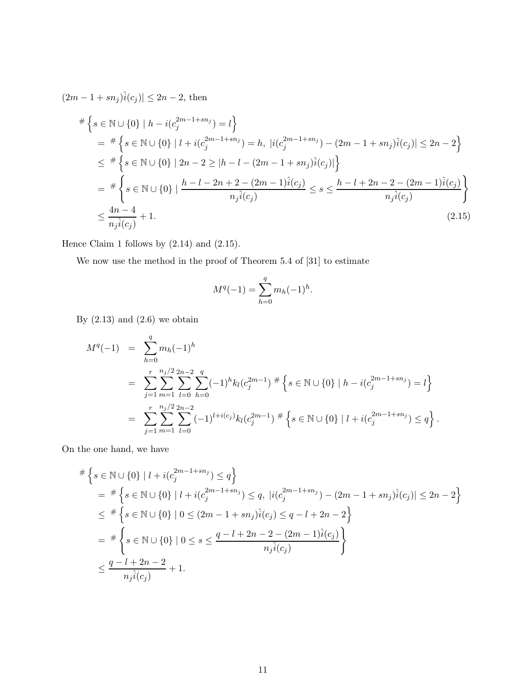$(2m - 1 + sn_j)\hat{i}(c_j) \leq 2n - 2$ , then

$$
\begin{split}\n&\#\left\{s \in \mathbb{N} \cup \{0\} \mid h - i(c_j^{2m-1+sn_j}) = l\right\} \\
&= \frac{\#\left\{s \in \mathbb{N} \cup \{0\} \mid l + i(c_j^{2m-1+sn_j}) = h, \ |i(c_j^{2m-1+sn_j}) - (2m-1+sn_j)\hat{i}(c_j)| \le 2n-2\right\}}{\leq \frac{\#\left\{s \in \mathbb{N} \cup \{0\} \mid 2n-2 \ge |h-l - (2m-1+sn_j)\hat{i}(c_j)|\right\}}{\{s \in \mathbb{N} \cup \{0\} \mid \frac{h-l-2n+2-(2m-1)\hat{i}(c_j)}{n_j\hat{i}(c_j)} \le s \le \frac{h-l+2n-2-(2m-1)\hat{i}(c_j)}{n_j\hat{i}(c_j)}\right\}} \\
&\le \frac{4n-4}{n_j\hat{i}(c_j)} + 1.\n\end{split} \tag{2.15}
$$

Hence Claim 1 follows by (2.14) and (2.15).

We now use the method in the proof of Theorem 5.4 of [31] to estimate

$$
M^{q}(-1) = \sum_{h=0}^{q} m_h(-1)^h.
$$

By  $(2.13)$  and  $(2.6)$  we obtain

$$
M^{q}(-1) = \sum_{h=0}^{q} m_h(-1)^h
$$
  
= 
$$
\sum_{j=1}^{r} \sum_{m=1}^{n_j/2} \sum_{l=0}^{2n-2} \sum_{h=0}^{q} (-1)^h k_l (c_j^{2m-1})^{\#} \left\{ s \in \mathbb{N} \cup \{0\} \mid h - i(c_j^{2m-1+sn_j}) = l \right\}
$$
  
= 
$$
\sum_{j=1}^{r} \sum_{m=1}^{n_j/2} \sum_{l=0}^{2n-2} (-1)^{l+i(c_j)} k_l (c_j^{2m-1})^{\#} \left\{ s \in \mathbb{N} \cup \{0\} \mid l + i(c_j^{2m-1+sn_j}) \le q \right\}.
$$

On the one hand, we have

$$
\begin{split}\n&\#\left\{s \in \mathbb{N} \cup \{0\} \mid l + i(c_j^{2m-1+sn_j}) \leq q\right\} \\
&= \frac{\#\left\{s \in \mathbb{N} \cup \{0\} \mid l + i(c_j^{2m-1+sn_j}) \leq q, \ |i(c_j^{2m-1+sn_j}) - (2m-1+sn_j)\hat{i}(c_j)| \leq 2n-2\right\}}{\leq \frac{\#\left\{s \in \mathbb{N} \cup \{0\} \mid 0 \leq (2m-1+sn_j)\hat{i}(c_j) \leq q-l+2n-2\right\}}{\left\{s \in \mathbb{N} \cup \{0\} \mid 0 \leq s \leq \frac{q-l+2n-2-(2m-1)\hat{i}(c_j)}{n_j\hat{i}(c_j)}\right\}} \\
&\leq \frac{q-l+2n-2}{n_j\hat{i}(c_j)} + 1.\n\end{split}
$$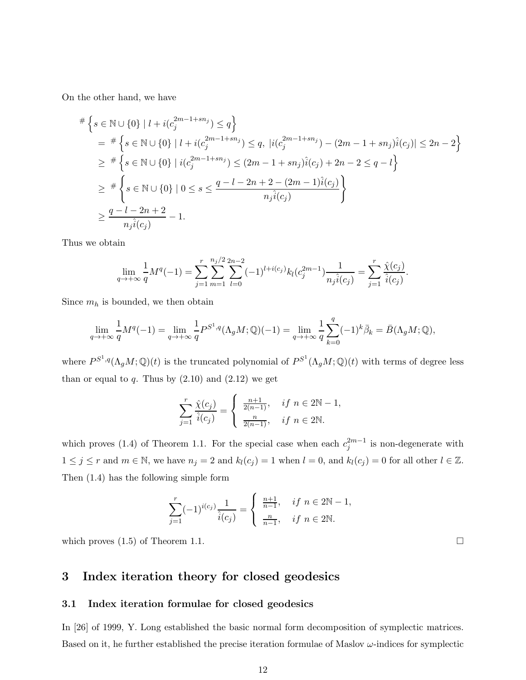On the other hand, we have

$$
\begin{split}\n&\#\left\{s \in \mathbb{N} \cup \{0\} \mid l + i(c_j^{2m-1+sn_j}) \leq q\right\} \\
&= \frac{\#\left\{s \in \mathbb{N} \cup \{0\} \mid l + i(c_j^{2m-1+sn_j}) \leq q, \ |i(c_j^{2m-1+sn_j}) - (2m-1+sn_j)\hat{i}(c_j)| \leq 2n-2\right\}}{\geq \frac{\#\left\{s \in \mathbb{N} \cup \{0\} \mid i(c_j^{2m-1+sn_j}) \leq (2m-1+sn_j)\hat{i}(c_j) + 2n-2 \leq q-l\right\}}{\geq \frac{\#\left\{s \in \mathbb{N} \cup \{0\} \mid 0 \leq s \leq \frac{q-l-2n+2-(2m-1)\hat{i}(c_j)}{n_j\hat{i}(c_j)}\right\}}{\geq \frac{q-l-2n+2}{n_j\hat{i}(c_j)}-1}.\n\end{split}
$$

Thus we obtain

$$
\lim_{q \to +\infty} \frac{1}{q} M^{q}(-1) = \sum_{j=1}^{r} \sum_{m=1}^{n_{j}/2} \sum_{l=0}^{2n-2} (-1)^{l+i(c_{j})} k_{l}(c_{j}^{2m-1}) \frac{1}{n_{j} \hat{i}(c_{j})} = \sum_{j=1}^{r} \frac{\hat{\chi}(c_{j})}{\hat{i}(c_{j})}.
$$

Since  $m_h$  is bounded, we then obtain

$$
\lim_{q\to +\infty}\frac{1}{q}M^q(-1)=\lim_{q\to +\infty}\frac{1}{q}P^{S^1,q}(\Lambda_gM;\mathbb{Q})(-1)=\lim_{q\to +\infty}\frac{1}{q}\sum_{k=0}^q(-1)^k\bar{\beta}_k=\bar{B}(\Lambda_gM;\mathbb{Q}),
$$

where  $P^{S^1,q}(\Lambda_g M;\mathbb{Q})(t)$  is the truncated polynomial of  $P^{S^1}(\Lambda_g M;\mathbb{Q})(t)$  with terms of degree less than or equal to q. Thus by  $(2.10)$  and  $(2.12)$  we get

$$
\sum_{j=1}^{r} \frac{\hat{\chi}(c_j)}{\hat{i}(c_j)} = \begin{cases} \frac{n+1}{2(n-1)}, & \text{if } n \in 2\mathbb{N} - 1, \\ \frac{n}{2(n-1)}, & \text{if } n \in 2\mathbb{N}. \end{cases}
$$

which proves (1.4) of Theorem 1.1. For the special case when each  $c_j^{2m-1}$  is non-degenerate with  $1 \leq j \leq r$  and  $m \in \mathbb{N}$ , we have  $n_j = 2$  and  $k_l(c_j) = 1$  when  $l = 0$ , and  $k_l(c_j) = 0$  for all other  $l \in \mathbb{Z}$ . Then (1.4) has the following simple form

$$
\sum_{j=1}^{r} (-1)^{i(c_j)} \frac{1}{\hat{i}(c_j)} = \begin{cases} \frac{n+1}{n-1}, & \text{if } n \in 2\mathbb{N} - 1, \\ \frac{n}{n-1}, & \text{if } n \in 2\mathbb{N}. \end{cases}
$$

which proves  $(1.5)$  of Theorem 1.1.

# 3 Index iteration theory for closed geodesics

#### 3.1 Index iteration formulae for closed geodesics

In [26] of 1999, Y. Long established the basic normal form decomposition of symplectic matrices. Based on it, he further established the precise iteration formulae of Maslov  $\omega$ -indices for symplectic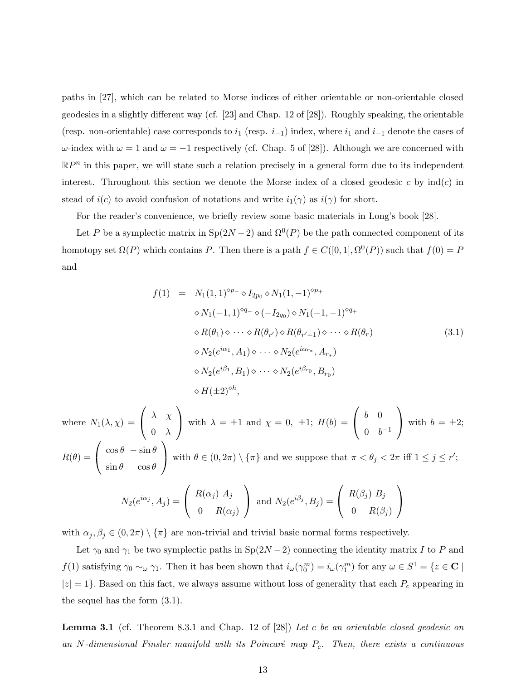paths in [27], which can be related to Morse indices of either orientable or non-orientable closed geodesics in a slightly different way (cf. [23] and Chap. 12 of [28]). Roughly speaking, the orientable (resp. non-orientable) case corresponds to  $i_1$  (resp.  $i_{-1}$ ) index, where  $i_1$  and  $i_{-1}$  denote the cases of  $ω$ -index with  $ω = 1$  and  $ω = -1$  respectively (cf. Chap. 5 of [28]). Although we are concerned with  $\mathbb{R}P^n$  in this paper, we will state such a relation precisely in a general form due to its independent interest. Throughout this section we denote the Morse index of a closed geodesic c by  $\text{ind}(c)$  in stead of  $i(c)$  to avoid confusion of notations and write  $i_1(\gamma)$  as  $i(\gamma)$  for short.

For the reader's convenience, we briefly review some basic materials in Long's book [28].

Let P be a symplectic matrix in  $\text{Sp}(2N-2)$  and  $\Omega^0(P)$  be the path connected component of its homotopy set  $\Omega(P)$  which contains P. Then there is a path  $f \in C([0,1], \Omega^0(P))$  such that  $f(0) = P$ and

$$
f(1) = N_1(1,1)^{\diamond p_{-}} \diamond I_{2p_0} \diamond N_1(1,-1)^{\diamond p_{+}}
$$
  
\n
$$
\diamond N_1(-1,1)^{\diamond q_{-}} \diamond (-I_{2q_0}) \diamond N_1(-1,-1)^{\diamond q_{+}}
$$
  
\n
$$
\diamond R(\theta_1) \diamond \cdots \diamond R(\theta_{r'}) \diamond R(\theta_{r'+1}) \diamond \cdots \diamond R(\theta_r)
$$
  
\n
$$
\diamond N_2(e^{i\alpha_1}, A_1) \diamond \cdots \diamond N_2(e^{i\alpha_{r_*}}, A_{r_*})
$$
  
\n
$$
\diamond N_2(e^{i\beta_1}, B_1) \diamond \cdots \diamond N_2(e^{i\beta_{r_0}}, B_{r_0})
$$
  
\n
$$
\diamond H(\pm 2)^{\diamond h},
$$
\n(3.1)

where  $N_1(\lambda, \chi)$  =  $\sqrt{ }$  $\mathbf{I}$  $\lambda - \chi$  $0 \lambda$  $\setminus$ with  $\lambda = \pm 1$  and  $\chi = 0, \pm 1; H(b) =$  $\sqrt{ }$  $\mathbf{I}$ b 0  $0 \t b^{-1}$  $\setminus$ with  $b = \pm 2;$  $R(\theta) =$  $\sqrt{ }$  $\mathbf{I}$  $\cos\theta - \sin\theta$  $\sin \theta \quad \cos \theta$  $\setminus$ with  $\theta \in (0, 2\pi) \setminus {\pi}$  and we suppose that  $\pi < \theta_j < 2\pi$  iff  $1 \le j \le r'$ ;

$$
N_2(e^{i\alpha_j}, A_j) = \begin{pmatrix} R(\alpha_j) A_j \\ 0 & R(\alpha_j) \end{pmatrix}
$$
 and 
$$
N_2(e^{i\beta_j}, B_j) = \begin{pmatrix} R(\beta_j) B_j \\ 0 & R(\beta_j) \end{pmatrix}
$$

with  $\alpha_j, \beta_j \in (0, 2\pi) \setminus {\{\pi\}}$  are non-trivial and trivial basic normal forms respectively.

Let  $\gamma_0$  and  $\gamma_1$  be two symplectic paths in Sp(2N – 2) connecting the identity matrix I to P and  $f(1)$  satisfying  $\gamma_0 \sim_\omega \gamma_1$ . Then it has been shown that  $i_\omega(\gamma_0^m) = i_\omega(\gamma_1^m)$  for any  $\omega \in S^1 = \{z \in \mathbf{C} \mid \mathbf{C} \in \mathbf{C} \}$  $|z| = 1$ . Based on this fact, we always assume without loss of generality that each  $P_c$  appearing in the sequel has the form (3.1).

**Lemma 3.1** (cf. Theorem 8.3.1 and Chap. 12 of [28]) Let c be an orientable closed geodesic on an N-dimensional Finsler manifold with its Poincaré map  $P_c$ . Then, there exists a continuous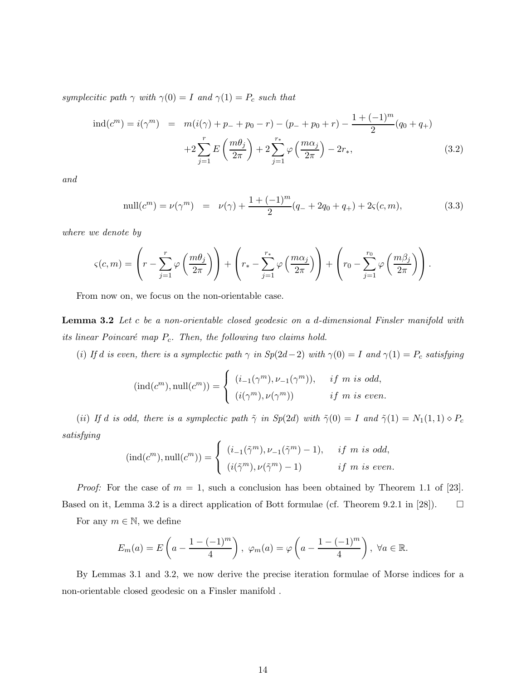symplecitic path  $\gamma$  with  $\gamma(0) = I$  and  $\gamma(1) = P_c$  such that

$$
\text{ind}(c^m) = i(\gamma^m) = m(i(\gamma) + p_+ + p_0 - r) - (p_+ + p_0 + r) - \frac{1 + (-1)^m}{2}(q_0 + q_+)
$$

$$
+ 2\sum_{j=1}^r E\left(\frac{m\theta_j}{2\pi}\right) + 2\sum_{j=1}^{r_*} \varphi\left(\frac{m\alpha_j}{2\pi}\right) - 2r_*,\tag{3.2}
$$

and

null
$$
(c^m)
$$
 =  $\nu(\gamma^m)$  =  $\nu(\gamma) + \frac{1 + (-1)^m}{2}(q_+ + 2q_0 + q_+) + 2\varsigma(c, m),$  (3.3)

where we denote by

$$
\varsigma(c,m) = \left(r - \sum_{j=1}^r \varphi\left(\frac{m\theta_j}{2\pi}\right)\right) + \left(r_* - \sum_{j=1}^{r_*} \varphi\left(\frac{m\alpha_j}{2\pi}\right)\right) + \left(r_0 - \sum_{j=1}^{r_0} \varphi\left(\frac{m\beta_j}{2\pi}\right)\right).
$$

From now on, we focus on the non-orientable case.

Lemma 3.2 Let c be a non-orientable closed geodesic on a d-dimensional Finsler manifold with its linear Poincaré map  $P_c$ . Then, the following two claims hold.

(i) If d is even, there is a symplectic path  $\gamma$  in  $Sp(2d-2)$  with  $\gamma(0) = I$  and  $\gamma(1) = P_c$  satisfying

$$
(\text{ind}(c^m), \text{null}(c^m)) = \begin{cases} (i_{-1}(\gamma^m), \nu_{-1}(\gamma^m)), & \text{if } m \text{ is odd,} \\ (i(\gamma^m), \nu(\gamma^m)) & \text{if } m \text{ is even.} \end{cases}
$$

(ii) If d is odd, there is a symplectic path  $\tilde{\gamma}$  in Sp(2d) with  $\tilde{\gamma}(0) = I$  and  $\tilde{\gamma}(1) = N_1(1,1) \diamond P_c$ satisfying

$$
(\text{ind}(c^m), \text{null}(c^m)) = \begin{cases} (i_{-1}(\tilde{\gamma}^m), \nu_{-1}(\tilde{\gamma}^m) - 1), & \text{if } m \text{ is odd,} \\ (i(\tilde{\gamma}^m), \nu(\tilde{\gamma}^m) - 1) & \text{if } m \text{ is even.} \end{cases}
$$

*Proof:* For the case of  $m = 1$ , such a conclusion has been obtained by Theorem 1.1 of [23]. Based on it, Lemma 3.2 is a direct application of Bott formulae (cf. Theorem 9.2.1 in [28]).  $\Box$ 

For any  $m \in \mathbb{N}$ , we define

$$
E_m(a) = E\left(a - \frac{1 - (-1)^m}{4}\right), \ \varphi_m(a) = \varphi\left(a - \frac{1 - (-1)^m}{4}\right), \ \forall a \in \mathbb{R}.
$$

By Lemmas 3.1 and 3.2, we now derive the precise iteration formulae of Morse indices for a non-orientable closed geodesic on a Finsler manifold .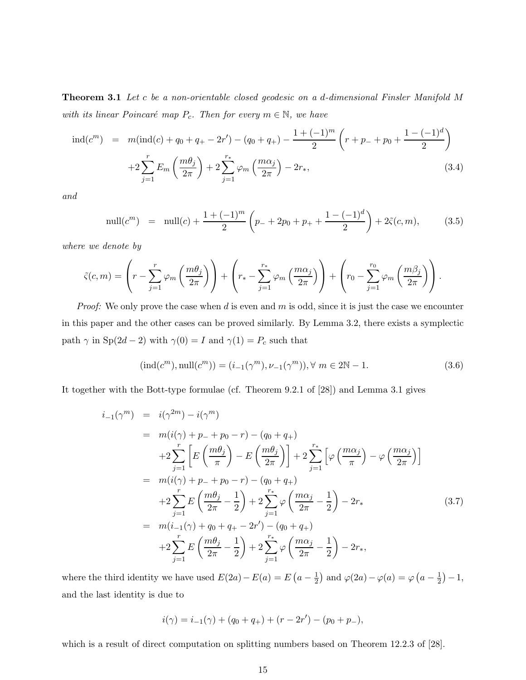Theorem 3.1 Let c be a non-orientable closed geodesic on a d-dimensional Finsler Manifold M with its linear Poincaré map  $P_c$ . Then for every  $m \in \mathbb{N}$ , we have

$$
\text{ind}(c^m) = m(\text{ind}(c) + q_0 + q_+ - 2r') - (q_0 + q_+) - \frac{1 + (-1)^m}{2} \left( r + p_- + p_0 + \frac{1 - (-1)^d}{2} \right)
$$

$$
+ 2 \sum_{j=1}^r E_m \left( \frac{m \theta_j}{2\pi} \right) + 2 \sum_{j=1}^{r_*} \varphi_m \left( \frac{m \alpha_j}{2\pi} \right) - 2r_*, \tag{3.4}
$$

and

null
$$
(c^m)
$$
 = null $(c)$  +  $\frac{1 + (-1)^m}{2}$  $\left(p_- + 2p_0 + p_+ + \frac{1 - (-1)^d}{2}\right) + 2\tilde{\varsigma}(c, m),$  (3.5)

where we denote by

$$
\tilde{\varsigma}(c,m) = \left(r - \sum_{j=1}^r \varphi_m\left(\frac{m\theta_j}{2\pi}\right)\right) + \left(r_* - \sum_{j=1}^{r_*} \varphi_m\left(\frac{m\alpha_j}{2\pi}\right)\right) + \left(r_0 - \sum_{j=1}^{r_0} \varphi_m\left(\frac{m\beta_j}{2\pi}\right)\right).
$$

*Proof:* We only prove the case when  $d$  is even and  $m$  is odd, since it is just the case we encounter in this paper and the other cases can be proved similarly. By Lemma 3.2, there exists a symplectic path  $\gamma$  in Sp(2d – 2) with  $\gamma(0) = I$  and  $\gamma(1) = P_c$  such that

$$
(\text{ind}(c^m), \text{null}(c^m)) = (i_{-1}(\gamma^m), \nu_{-1}(\gamma^m)), \forall m \in 2\mathbb{N} - 1.
$$
 (3.6)

It together with the Bott-type formulae (cf. Theorem 9.2.1 of [28]) and Lemma 3.1 gives

$$
i_{-1}(\gamma^{m}) = i(\gamma^{2m}) - i(\gamma^{m})
$$
  
\n
$$
= m(i(\gamma) + p_{-} + p_{0} - r) - (q_{0} + q_{+})
$$
  
\n
$$
+2 \sum_{j=1}^{r} \left[ E\left(\frac{m\theta_{j}}{\pi}\right) - E\left(\frac{m\theta_{j}}{2\pi}\right) \right] + 2 \sum_{j=1}^{r*} \left[ \varphi\left(\frac{m\alpha_{j}}{\pi}\right) - \varphi\left(\frac{m\alpha_{j}}{2\pi}\right) \right]
$$
  
\n
$$
= m(i(\gamma) + p_{-} + p_{0} - r) - (q_{0} + q_{+})
$$
  
\n
$$
+2 \sum_{j=1}^{r} E\left(\frac{m\theta_{j}}{2\pi} - \frac{1}{2}\right) + 2 \sum_{j=1}^{r*} \varphi\left(\frac{m\alpha_{j}}{2\pi} - \frac{1}{2}\right) - 2r_{*}
$$
  
\n
$$
= m(i_{-1}(\gamma) + q_{0} + q_{+} - 2r') - (q_{0} + q_{+})
$$
  
\n
$$
+2 \sum_{j=1}^{r} E\left(\frac{m\theta_{j}}{2\pi} - \frac{1}{2}\right) + 2 \sum_{j=1}^{r*} \varphi\left(\frac{m\alpha_{j}}{2\pi} - \frac{1}{2}\right) - 2r_{*},
$$
  
\n(3.7)

where the third identity we have used  $E(2a) - E(a) = E(a - \frac{1}{2})$  $\frac{1}{2}$ ) and  $\varphi(2a) - \varphi(a) = \varphi(a - \frac{1}{2})$  $(\frac{1}{2})-1,$ and the last identity is due to

$$
i(\gamma) = i_{-1}(\gamma) + (q_0 + q_+) + (r - 2r') - (p_0 + p_-),
$$

which is a result of direct computation on splitting numbers based on Theorem 12.2.3 of [28].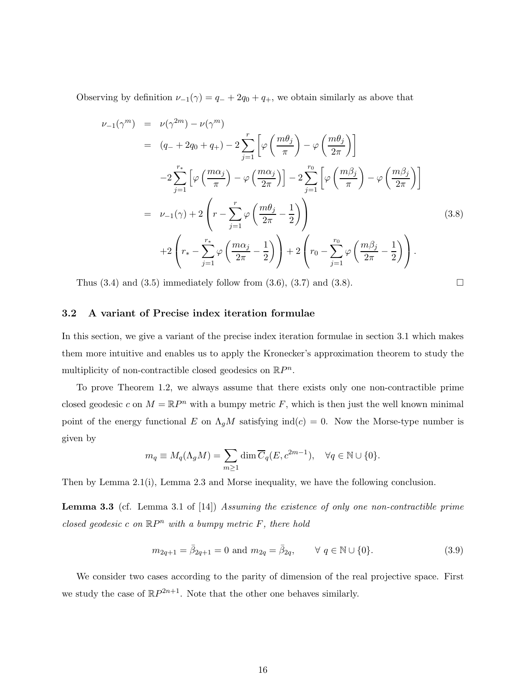Observing by definition  $\nu_{-1}(\gamma) = q_- + 2q_0 + q_+$ , we obtain similarly as above that

$$
\nu_{-1}(\gamma^{m}) = \nu(\gamma^{2m}) - \nu(\gamma^{m})
$$
\n
$$
= (q_{-} + 2q_{0} + q_{+}) - 2\sum_{j=1}^{r} \left[\varphi\left(\frac{m\theta_{j}}{\pi}\right) - \varphi\left(\frac{m\theta_{j}}{2\pi}\right)\right]
$$
\n
$$
-2\sum_{j=1}^{r_{*}} \left[\varphi\left(\frac{m\alpha_{j}}{\pi}\right) - \varphi\left(\frac{m\alpha_{j}}{2\pi}\right)\right] - 2\sum_{j=1}^{r_{0}} \left[\varphi\left(\frac{m\beta_{j}}{\pi}\right) - \varphi\left(\frac{m\beta_{j}}{2\pi}\right)\right]
$$
\n
$$
= \nu_{-1}(\gamma) + 2\left(r - \sum_{j=1}^{r} \varphi\left(\frac{m\theta_{j}}{2\pi} - \frac{1}{2}\right)\right)
$$
\n
$$
+ 2\left(r_{*} - \sum_{j=1}^{r_{*}} \varphi\left(\frac{m\alpha_{j}}{2\pi} - \frac{1}{2}\right)\right) + 2\left(r_{0} - \sum_{j=1}^{r_{0}} \varphi\left(\frac{m\beta_{j}}{2\pi} - \frac{1}{2}\right)\right).
$$
\n(3.8)

Thus  $(3.4)$  and  $(3.5)$  immediately follow from  $(3.6)$ ,  $(3.7)$  and  $(3.8)$ .

#### 3.2 A variant of Precise index iteration formulae

In this section, we give a variant of the precise index iteration formulae in section 3.1 which makes them more intuitive and enables us to apply the Kronecker's approximation theorem to study the multiplicity of non-contractible closed geodesics on  $\mathbb{R}P^n$ .

To prove Theorem 1.2, we always assume that there exists only one non-contractible prime closed geodesic c on  $M = \mathbb{R}P^n$  with a bumpy metric F, which is then just the well known minimal point of the energy functional E on  $\Lambda_g M$  satisfying ind(c) = 0. Now the Morse-type number is given by

$$
m_q \equiv M_q(\Lambda_g M) = \sum_{m \ge 1} \dim \overline{C}_q(E, c^{2m-1}), \quad \forall q \in \mathbb{N} \cup \{0\}.
$$

Then by Lemma 2.1(i), Lemma 2.3 and Morse inequality, we have the following conclusion.

Lemma 3.3 (cf. Lemma 3.1 of [14]) Assuming the existence of only one non-contractible prime closed geodesic c on  $\mathbb{R}P^n$  with a bumpy metric F, there hold

$$
m_{2q+1} = \bar{\beta}_{2q+1} = 0
$$
 and  $m_{2q} = \bar{\beta}_{2q}$ ,  $\forall q \in \mathbb{N} \cup \{0\}.$  (3.9)

We consider two cases according to the parity of dimension of the real projective space. First we study the case of  $\mathbb{R}P^{2n+1}$ . Note that the other one behaves similarly.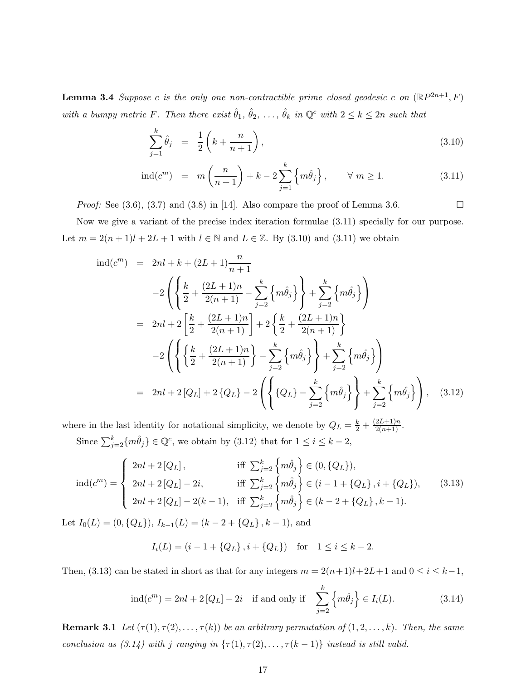**Lemma 3.4** Suppose c is the only one non-contractible prime closed geodesic c on  $(\mathbb{R}P^{2n+1}, F)$ with a bumpy metric F. Then there exist  $\hat{\theta}_1, \hat{\theta}_2, \ldots, \hat{\theta}_k$  in  $\mathbb{Q}^c$  with  $2 \leq k \leq 2n$  such that

$$
\sum_{j=1}^{k} \hat{\theta}_j = \frac{1}{2} \left( k + \frac{n}{n+1} \right), \tag{3.10}
$$

$$
\operatorname{ind}(c^m) = m\left(\frac{n}{n+1}\right) + k - 2\sum_{j=1}^k \left\{m\hat{\theta}_j\right\}, \qquad \forall \ m \ge 1. \tag{3.11}
$$

*Proof:* See  $(3.6)$ ,  $(3.7)$  and  $(3.8)$  in [14]. Also compare the proof of Lemma 3.6.

Now we give a variant of the precise index iteration formulae (3.11) specially for our purpose. Let  $m = 2(n+1)l + 2L + 1$  with  $l \in \mathbb{N}$  and  $L \in \mathbb{Z}$ . By (3.10) and (3.11) we obtain

$$
\text{ind}(c^m) = 2nl + k + (2L + 1)\frac{n}{n+1} \n-2\left(\left\{\frac{k}{2} + \frac{(2L+1)n}{2(n+1)} - \sum_{j=2}^k \left\{m\hat{\theta}_j\right\}\right\} + \sum_{j=2}^k \left\{m\hat{\theta}_j\right\}\right) \n= 2nl + 2\left[\frac{k}{2} + \frac{(2L+1)n}{2(n+1)}\right] + 2\left\{\frac{k}{2} + \frac{(2L+1)n}{2(n+1)}\right\} \n-2\left(\left\{\left\{\frac{k}{2} + \frac{(2L+1)n}{2(n+1)}\right\} - \sum_{j=2}^k \left\{m\hat{\theta}_j\right\}\right\} + \sum_{j=2}^k \left\{m\hat{\theta}_j\right\}\right) \n= 2nl + 2[Q_L] + 2\left\{Q_L\right\} - 2\left(\left\{\left\{Q_L\right\} - \sum_{j=2}^k \left\{m\hat{\theta}_j\right\}\right\} + \sum_{j=2}^k \left\{m\hat{\theta}_j\right\}\right), \quad (3.12)
$$

where in the last identity for notational simplicity, we denote by  $Q_L = \frac{k}{2} + \frac{(2L+1)n}{2(n+1)}$ . Since  $\sum_{j=2}^{k} \{m \hat{\theta}_j\} \in \mathbb{Q}^c$ , we obtain by  $(3.12)$  that for  $1 \leq i \leq k-2$ ,

$$
\text{ind}(c^m) = \begin{cases} 2nl + 2[Q_L], & \text{iff } \sum_{j=2}^k \left\{ m\hat{\theta}_j \right\} \in (0, \{Q_L\}), \\ 2nl + 2[Q_L] - 2i, & \text{iff } \sum_{j=2}^k \left\{ m\hat{\theta}_j \right\} \in (i - 1 + \{Q_L\}, i + \{Q_L\}), \\ 2nl + 2[Q_L] - 2(k - 1), & \text{iff } \sum_{j=2}^k \left\{ m\hat{\theta}_j \right\} \in (k - 2 + \{Q_L\}, k - 1). \end{cases} \tag{3.13}
$$

Let  $I_0(L) = (0, \{Q_L\}), I_{k-1}(L) = (k-2+\{Q_L\}, k-1)$ , and

$$
I_i(L) = (i - 1 + \{Q_L\}, i + \{Q_L\}) \text{ for } 1 \le i \le k - 2.
$$

Then, (3.13) can be stated in short as that for any integers  $m = 2(n+1)l+2L+1$  and  $0 \le i \le k-1$ ,

$$
\operatorname{ind}(c^m) = 2nl + 2[Q_L] - 2i \quad \text{if and only if} \quad \sum_{j=2}^k \left\{ m \hat{\theta}_j \right\} \in I_i(L). \tag{3.14}
$$

**Remark 3.1** Let  $(\tau(1), \tau(2), \ldots, \tau(k))$  be an arbitrary permutation of  $(1, 2, \ldots, k)$ . Then, the same conclusion as  $(3.14)$  with j ranging in  $\{\tau(1), \tau(2), \ldots, \tau(k-1)\}$  instead is still valid.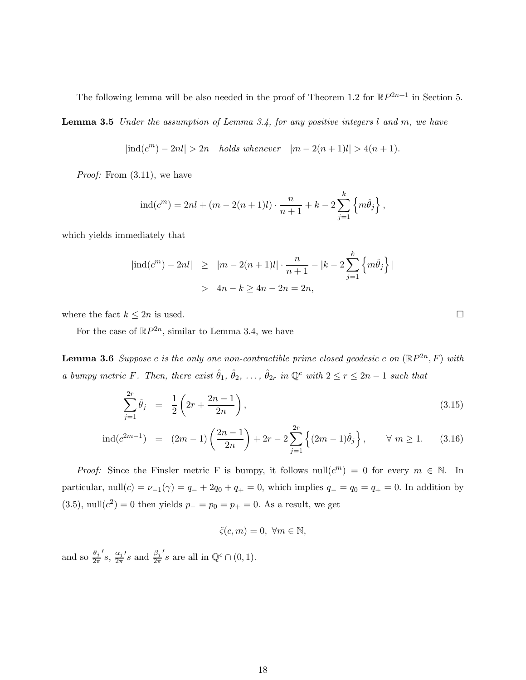The following lemma will be also needed in the proof of Theorem 1.2 for  $\mathbb{R}P^{2n+1}$  in Section 5.

Lemma 3.5 Under the assumption of Lemma 3.4, for any positive integers l and m, we have

$$
|ind(cm) - 2nl| > 2n
$$
 holds whenever  $|m - 2(n + 1)l| > 4(n + 1)$ .

*Proof:* From  $(3.11)$ , we have

$$
ind(cm) = 2nl + (m - 2(n + 1)l) \cdot \frac{n}{n+1} + k - 2 \sum_{j=1}^{k} \left\{ m \hat{\theta}_j \right\},
$$

which yields immediately that

$$
|\text{ind}(c^m) - 2nl| \ge |m - 2(n+1)l| \cdot \frac{n}{n+1} - |k - 2\sum_{j=1}^k \left\{ m\hat{\theta}_j \right\}|
$$
  
>  $4n - k \ge 4n - 2n = 2n$ ,

where the fact  $k \leq 2n$  is used.

For the case of  $\mathbb{R}P^{2n}$ , similar to Lemma 3.4, we have

**Lemma 3.6** Suppose c is the only one non-contractible prime closed geodesic c on  $(\mathbb{R}P^{2n},F)$  with a bumpy metric F. Then, there exist  $\hat{\theta}_1, \hat{\theta}_2, \ldots, \hat{\theta}_{2r}$  in  $\mathbb{Q}^c$  with  $2 \leq r \leq 2n-1$  such that

$$
\sum_{j=1}^{2r} \hat{\theta}_j = \frac{1}{2} \left( 2r + \frac{2n-1}{2n} \right),\tag{3.15}
$$

$$
\operatorname{ind}(c^{2m-1}) = (2m-1)\left(\frac{2n-1}{2n}\right) + 2r - 2\sum_{j=1}^{2r} \left\{ (2m-1)\hat{\theta}_j \right\}, \qquad \forall \ m \ge 1. \tag{3.16}
$$

*Proof:* Since the Finsler metric F is bumpy, it follows null( $c^m$ ) = 0 for every  $m \in \mathbb{N}$ . In particular, null(c) =  $\nu_{-1}(\gamma) = q_{-} + 2q_0 + q_{+} = 0$ , which implies  $q_{-} = q_0 = q_{+} = 0$ . In addition by (3.5), null( $c^2$ ) = 0 then yields  $p_ - = p_0 = p_+ = 0$ . As a result, we get

$$
\tilde{\varsigma}(c, m) = 0, \ \forall m \in \mathbb{N},
$$

and so  $\frac{\theta_j}{2\pi}$  $'s$ ,  $\frac{\alpha_j}{2\pi}$  $2\pi$  $'s$  and  $\frac{\beta_j}{2\pi}$ 's are all in  $\mathbb{Q}^c \cap (0,1)$ .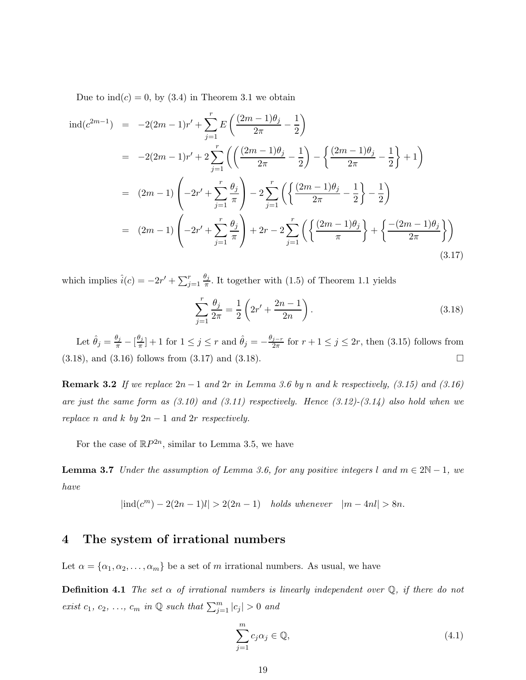Due to  $\text{ind}(c) = 0$ , by (3.4) in Theorem 3.1 we obtain

$$
\begin{split}\n\text{ind}(c^{2m-1}) &= -2(2m-1)r' + \sum_{j=1}^{r} E\left(\frac{(2m-1)\theta_j}{2\pi} - \frac{1}{2}\right) \\
&= -2(2m-1)r' + 2\sum_{j=1}^{r} \left(\left(\frac{(2m-1)\theta_j}{2\pi} - \frac{1}{2}\right) - \left\{\frac{(2m-1)\theta_j}{2\pi} - \frac{1}{2}\right\} + 1\right) \\
&= (2m-1) \left(-2r' + \sum_{j=1}^{r} \frac{\theta_j}{\pi}\right) - 2\sum_{j=1}^{r} \left(\left\{\frac{(2m-1)\theta_j}{2\pi} - \frac{1}{2}\right\} - \frac{1}{2}\right) \\
&= (2m-1) \left(-2r' + \sum_{j=1}^{r} \frac{\theta_j}{\pi}\right) + 2r - 2\sum_{j=1}^{r} \left(\left\{\frac{(2m-1)\theta_j}{\pi}\right\} + \left\{\frac{-(2m-1)\theta_j}{2\pi}\right\}\right)\n\end{split}
$$
\n(3.17)

which implies  $\hat{i}(c) = -2r' + \sum_{j=1}^{r}$  $\theta_j$  $\frac{\nu_j}{\pi}$ . It together with (1.5) of Theorem 1.1 yields

$$
\sum_{j=1}^{r} \frac{\theta_j}{2\pi} = \frac{1}{2} \left( 2r' + \frac{2n-1}{2n} \right).
$$
\n(3.18)

Let  $\hat{\theta}_j = \frac{\theta_j}{\pi} - \left[\frac{\theta_j}{\pi}\right]$  $\frac{\partial j}{\partial \pi}$ ] + 1 for  $1 \leq j \leq r$  and  $\hat{\theta}_j = -\frac{\theta_{j-r}}{2\pi}$  $\frac{j-r}{2\pi}$  for  $r+1 \leq j \leq 2r$ , then  $(3.15)$  follows from  $(3.18)$ , and  $(3.16)$  follows from  $(3.17)$  and  $(3.18)$ .

**Remark 3.2** If we replace  $2n-1$  and  $2r$  in Lemma 3.6 by n and k respectively, (3.15) and (3.16) are just the same form as  $(3.10)$  and  $(3.11)$  respectively. Hence  $(3.12)-(3.14)$  also hold when we replace n and k by  $2n - 1$  and  $2r$  respectively.

For the case of  $\mathbb{R}P^{2n}$ , similar to Lemma 3.5, we have

**Lemma 3.7** Under the assumption of Lemma 3.6, for any positive integers l and  $m \in 2N - 1$ , we have

$$
|ind(cm) - 2(2n - 1)l| > 2(2n - 1) \quad holds whenever \quad |m - 4nl| > 8n.
$$

## 4 The system of irrational numbers

Let  $\alpha = {\alpha_1, \alpha_2, \ldots, \alpha_m}$  be a set of m irrational numbers. As usual, we have

**Definition 4.1** The set  $\alpha$  of irrational numbers is linearly independent over  $\mathbb{Q}$ , if there do not exist  $c_1, c_2, \ldots, c_m$  in  $\mathbb Q$  such that  $\sum_{j=1}^m |c_j| > 0$  and

$$
\sum_{j=1}^{m} c_j \alpha_j \in \mathbb{Q},\tag{4.1}
$$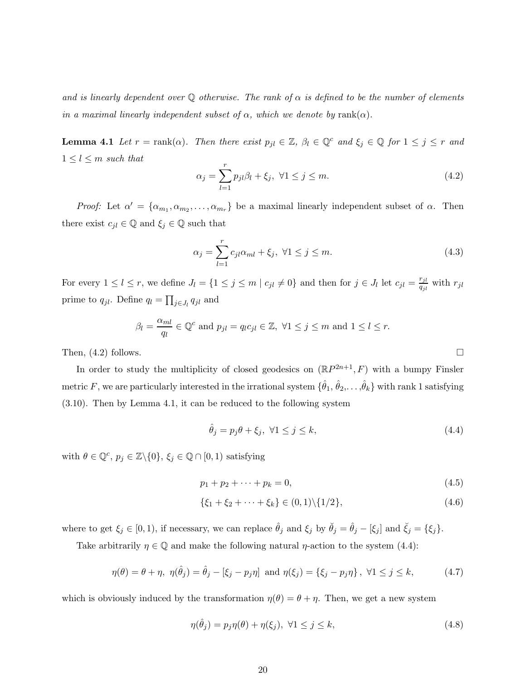and is linearly dependent over Q otherwise. The rank of  $\alpha$  is defined to be the number of elements in a maximal linearly independent subset of  $\alpha$ , which we denote by rank( $\alpha$ ).

**Lemma 4.1** Let  $r = \text{rank}(\alpha)$ . Then there exist  $p_{jl} \in \mathbb{Z}$ ,  $\beta_l \in \mathbb{Q}^c$  and  $\xi_j \in \mathbb{Q}$  for  $1 \leq j \leq r$  and  $1 \leq l \leq m$  such that

$$
\alpha_j = \sum_{l=1}^r p_{jl}\beta_l + \xi_j, \ \forall 1 \le j \le m. \tag{4.2}
$$

Proof: Let  $\alpha' = {\alpha_{m_1}, \alpha_{m_2}, \dots, \alpha_{m_r}}$  be a maximal linearly independent subset of  $\alpha$ . Then there exist  $c_{jl} \in \mathbb{Q}$  and  $\xi_j \in \mathbb{Q}$  such that

$$
\alpha_j = \sum_{l=1}^r c_{jl}\alpha_{ml} + \xi_j, \ \forall 1 \le j \le m. \tag{4.3}
$$

For every  $1 \leq l \leq r$ , we define  $J_l = \{1 \leq j \leq m \mid c_{jl} \neq 0\}$  and then for  $j \in J_l$  let  $c_{jl} = \frac{r_{jl}}{q_{jl}}$  $\frac{r_{jl}}{q_{jl}}$  with  $r_{jl}$ prime to  $q_{jl}$ . Define  $q_l = \prod_{j \in J_l} q_{jl}$  and

$$
\beta_l = \frac{\alpha_{ml}}{q_l} \in \mathbb{Q}^c \text{ and } p_{jl} = q_l c_{jl} \in \mathbb{Z}, \ \forall 1 \le j \le m \text{ and } 1 \le l \le r.
$$

Then,  $(4.2)$  follows.

In order to study the multiplicity of closed geodesics on  $(\mathbb{R}P^{2n+1}, F)$  with a bumpy Finsler metric  $F,$  we are particularly interested in the irrational system  $\{\hat{\theta}_1,\hat{\theta}_2,\ldots,\hat{\theta}_k\}$  with rank  $1$  satisfying (3.10). Then by Lemma 4.1, it can be reduced to the following system

$$
\hat{\theta}_j = p_j \theta + \xi_j, \ \forall 1 \le j \le k,\tag{4.4}
$$

with  $\theta \in \mathbb{Q}^c$ ,  $p_j \in \mathbb{Z} \setminus \{0\}$ ,  $\xi_j \in \mathbb{Q} \cap [0,1)$  satisfying

$$
p_1 + p_2 + \dots + p_k = 0,\t\t(4.5)
$$

$$
\{\xi_1 + \xi_2 + \dots + \xi_k\} \in (0,1) \setminus \{1/2\},\tag{4.6}
$$

where to get  $\xi_j \in [0, 1)$ , if necessary, we can replace  $\hat{\theta}_j$  and  $\xi_j$  by  $\check{\theta}_j = \hat{\theta}_j - [\xi_j]$  and  $\check{\xi}_j = {\xi_j}$ .

Take arbitrarily  $\eta \in \mathbb{Q}$  and make the following natural  $\eta$ -action to the system (4.4):

$$
\eta(\theta) = \theta + \eta, \ \eta(\hat{\theta}_j) = \hat{\theta}_j - [\xi_j - p_j \eta] \ \text{and} \ \eta(\xi_j) = \{\xi_j - p_j \eta\}, \ \forall 1 \le j \le k,
$$
 (4.7)

which is obviously induced by the transformation  $\eta(\theta) = \theta + \eta$ . Then, we get a new system

$$
\eta(\hat{\theta}_j) = p_j \eta(\theta) + \eta(\xi_j), \ \forall 1 \le j \le k,
$$
\n(4.8)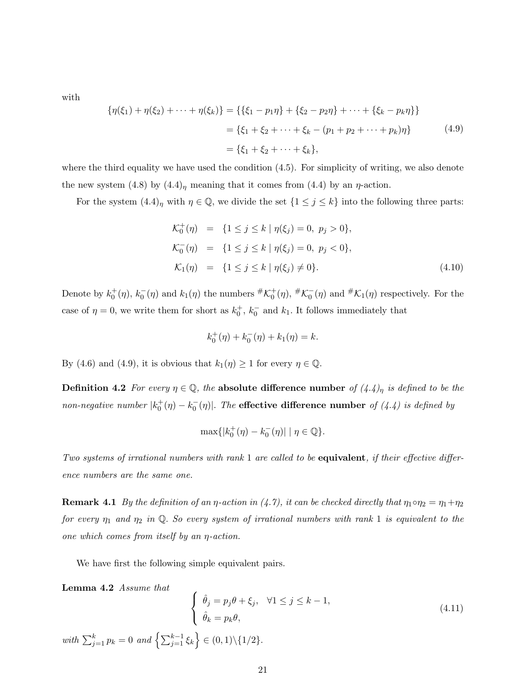with

$$
\{\eta(\xi_1) + \eta(\xi_2) + \dots + \eta(\xi_k)\} = \{\{\xi_1 - p_1\eta\} + \{\xi_2 - p_2\eta\} + \dots + \{\xi_k - p_k\eta\}\}\
$$

$$
= \{\xi_1 + \xi_2 + \dots + \xi_k - (p_1 + p_2 + \dots + p_k)\eta\}
$$
(4.9)
$$
= \{\xi_1 + \xi_2 + \dots + \xi_k\},
$$

where the third equality we have used the condition  $(4.5)$ . For simplicity of writing, we also denote the new system (4.8) by  $(4.4)$ <sub>η</sub> meaning that it comes from (4.4) by an  $\eta$ -action.

For the system  $(4.4)$ <sub>n</sub> with  $\eta \in \mathbb{Q}$ , we divide the set  $\{1 \leq j \leq k\}$  into the following three parts:

$$
\mathcal{K}_0^+(\eta) = \{1 \le j \le k \mid \eta(\xi_j) = 0, \ p_j > 0\},\
$$
  
\n
$$
\mathcal{K}_0^-(\eta) = \{1 \le j \le k \mid \eta(\xi_j) = 0, \ p_j < 0\},\
$$
  
\n
$$
\mathcal{K}_1(\eta) = \{1 \le j \le k \mid \eta(\xi_j) \ne 0\}.
$$
\n(4.10)

Denote by  $k_0^+(\eta)$ ,  $k_0^-(\eta)$  and  $k_1(\eta)$  the numbers  $\#\mathcal{K}_0^+(\eta)$ ,  $\#\mathcal{K}_0^-(\eta)$  and  $\#\mathcal{K}_1(\eta)$  respectively. For the case of  $\eta = 0$ , we write them for short as  $k_0^+, k_0^-$  and  $k_1$ . It follows immediately that

$$
k_0^+(\eta) + k_0^-(\eta) + k_1(\eta) = k.
$$

By (4.6) and (4.9), it is obvious that  $k_1(\eta) \geq 1$  for every  $\eta \in \mathbb{Q}$ .

**Definition 4.2** For every  $\eta \in \mathbb{Q}$ , the absolute difference number of  $(4.4)$ <sub> $\eta$ </sub> is defined to be the non-negative number  $|k_0^+(\eta) - k_0^-(\eta)|$ . The effective difference number of (4.4) is defined by

$$
\max\{|k_0^+(\eta) - k_0^-(\eta)| \mid \eta \in \mathbb{Q}\}.
$$

Two systems of irrational numbers with rank 1 are called to be equivalent, if their effective difference numbers are the same one.

**Remark 4.1** By the definition of an  $\eta$ -action in (4.7), it can be checked directly that  $\eta_1 \circ \eta_2 = \eta_1 + \eta_2$ for every  $\eta_1$  and  $\eta_2$  in Q. So every system of irrational numbers with rank 1 is equivalent to the one which comes from itself by an  $\eta$ -action.

We have first the following simple equivalent pairs.

Lemma 4.2 Assume that

**Lemma 4.2 Assume that**  

$$
\begin{cases}\n\hat{\theta}_j = p_j \theta + \xi_j, & \forall 1 \le j \le k - 1, \\
\hat{\theta}_k = p_k \theta,\n\end{cases}
$$
\n
$$
with \sum_{j=1}^k p_k = 0 \text{ and } \left\{ \sum_{j=1}^{k-1} \xi_k \right\} \in (0,1) \setminus \{1/2\}.
$$
\n
$$
(4.11)
$$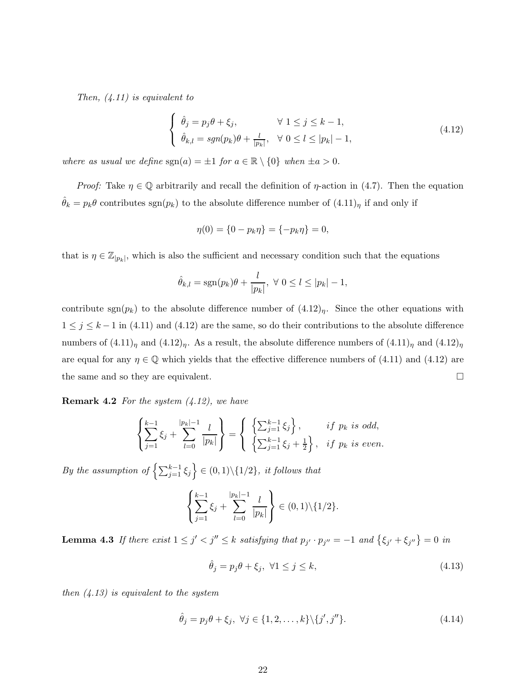Then,  $(4.11)$  is equivalent to

$$
\begin{cases}\n\hat{\theta}_j = p_j \theta + \xi_j, & \forall 1 \le j \le k - 1, \\
\hat{\theta}_{k,l} = sgn(p_k)\theta + \frac{l}{|p_k|}, & \forall 0 \le l \le |p_k| - 1,\n\end{cases}
$$
\n(4.12)

where as usual we define  $sgn(a) = \pm 1$  for  $a \in \mathbb{R} \setminus \{0\}$  when  $\pm a > 0$ .

*Proof:* Take  $\eta \in \mathbb{Q}$  arbitrarily and recall the definition of  $\eta$ -action in (4.7). Then the equation  $\hat{\theta}_k = p_k \theta$  contributes  $sgn(p_k)$  to the absolute difference number of  $(4.11)<sub>\eta</sub>$  if and only if

$$
\eta(0) = \{0 - p_k \eta\} = \{-p_k \eta\} = 0,
$$

that is  $\eta \in \mathbb{Z}_{|p_k|}$ , which is also the sufficient and necessary condition such that the equations

$$
\hat{\theta}_{k,l} = \text{sgn}(p_k)\theta + \frac{l}{|p_k|}, \ \forall \ 0 \leq l \leq |p_k| - 1,
$$

contribute sgn( $p_k$ ) to the absolute difference number of  $(4.12)<sub>n</sub>$ . Since the other equations with  $1 \leq j \leq k-1$  in (4.11) and (4.12) are the same, so do their contributions to the absolute difference numbers of  $(4.11)<sub>n</sub>$  and  $(4.12)<sub>n</sub>$ . As a result, the absolute difference numbers of  $(4.11)<sub>n</sub>$  and  $(4.12)<sub>n</sub>$ are equal for any  $\eta \in \mathbb{Q}$  which yields that the effective difference numbers of (4.11) and (4.12) are the same and so they are equivalent.

**Remark 4.2** For the system  $(4.12)$ , we have

$$
\left\{\sum_{j=1}^{k-1}\xi_j + \sum_{l=0}^{|p_k|-1} \frac{l}{|p_k|}\right\} = \left\{\begin{array}{ll}\left\{\sum_{j=1}^{k-1}\xi_j\right\}, & if \ p_k \ is \ odd, \\ \left\{\sum_{j=1}^{k-1}\xi_j + \frac{1}{2}\right\}, & if \ p_k \ is \ even.\end{array}\right.
$$

By the assumption of  $\left\{\sum_{j=1}^{k-1} \xi_j\right\} \in (0, 1) \setminus \{1/2\}$ , it follows that

$$
\left\{\sum_{j=1}^{k-1}\xi_j+\sum_{l=0}^{|p_k|-1}\frac{l}{|p_k|}\right\}\in(0,1)\setminus\{1/2\}.
$$

**Lemma 4.3** If there exist  $1 \leq j' < j'' \leq k$  satisfying that  $p_{j'} \cdot p_{j''} = -1$  and  $\{\xi_{j'} + \xi_{j''}\} = 0$  in

$$
\hat{\theta}_j = p_j \theta + \xi_j, \ \forall 1 \le j \le k,
$$
\n(4.13)

then  $(4.13)$  is equivalent to the system

$$
\hat{\theta}_j = p_j \theta + \xi_j, \ \forall j \in \{1, 2, \dots, k\} \backslash \{j', j''\}.
$$
\n(4.14)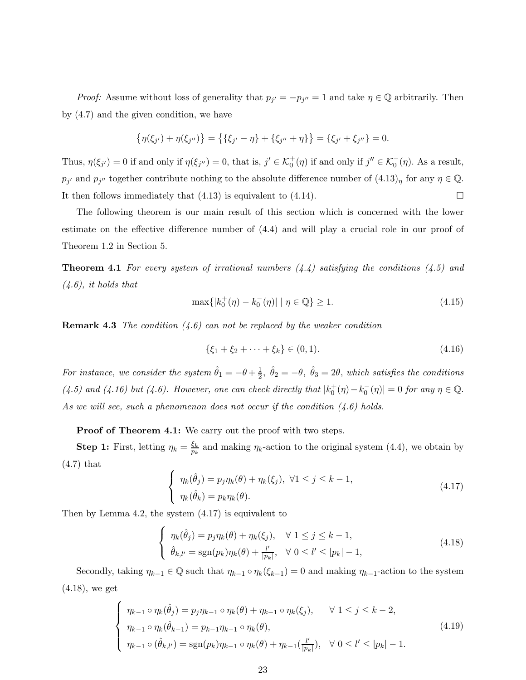*Proof:* Assume without loss of generality that  $p_{j'} = -p_{j''} = 1$  and take  $\eta \in \mathbb{Q}$  arbitrarily. Then by (4.7) and the given condition, we have

$$
\{\eta(\xi_{j'}) + \eta(\xi_{j''})\} = \{\{\xi_{j'} - \eta\} + \{\xi_{j''} + \eta\}\} = \{\xi_{j'} + \xi_{j''}\} = 0.
$$

Thus,  $\eta(\xi_{j'}) = 0$  if and only if  $\eta(\xi_{j''}) = 0$ , that is,  $j' \in \mathcal{K}_0^+(\eta)$  if and only if  $j'' \in \mathcal{K}_0^-(\eta)$ . As a result,  $p_{j'}$  and  $p_{j''}$  together contribute nothing to the absolute difference number of  $(4.13)<sub>\eta</sub>$  for any  $\eta \in \mathbb{Q}$ . It then follows immediately that  $(4.13)$  is equivalent to  $(4.14)$ .

The following theorem is our main result of this section which is concerned with the lower estimate on the effective difference number of (4.4) and will play a crucial role in our proof of Theorem 1.2 in Section 5.

**Theorem 4.1** For every system of irrational numbers  $(4.4)$  satisfying the conditions  $(4.5)$  and  $(4.6)$ , it holds that

$$
\max\{|k_0^+(\eta) - k_0^-(\eta)| \mid \eta \in \mathbb{Q}\} \ge 1. \tag{4.15}
$$

**Remark 4.3** The condition  $(4.6)$  can not be replaced by the weaker condition

$$
\{\xi_1 + \xi_2 + \dots + \xi_k\} \in (0, 1). \tag{4.16}
$$

For instance, we consider the system  $\hat{\theta}_1 = -\theta + \frac{1}{2}$  $\frac{1}{2}$ ,  $\hat{\theta}_2 = -\theta$ ,  $\hat{\theta}_3 = 2\theta$ , which satisfies the conditions (4.5) and (4.16) but (4.6). However, one can check directly that  $|k_0^+(\eta) - k_0^-(\eta)| = 0$  for any  $\eta \in \mathbb{Q}$ . As we will see, such a phenomenon does not occur if the condition  $(4.6)$  holds.

Proof of Theorem 4.1: We carry out the proof with two steps.

**Step 1:** First, letting  $\eta_k = \frac{\xi_k}{p_k}$  $\frac{\xi_k}{p_k}$  and making  $\eta_k$ -action to the original system (4.4), we obtain by (4.7) that

$$
\begin{cases}\n\eta_k(\hat{\theta}_j) = p_j \eta_k(\theta) + \eta_k(\xi_j), \ \forall 1 \le j \le k - 1, \\
\eta_k(\hat{\theta}_k) = p_k \eta_k(\theta).\n\end{cases}
$$
\n(4.17)

Then by Lemma 4.2, the system (4.17) is equivalent to

$$
\begin{cases}\n\eta_k(\hat{\theta}_j) = p_j \eta_k(\theta) + \eta_k(\xi_j), & \forall 1 \le j \le k - 1, \\
\hat{\theta}_{k,l'} = \text{sgn}(p_k) \eta_k(\theta) + \frac{l'}{|p_k|}, & \forall 0 \le l' \le |p_k| - 1,\n\end{cases}
$$
\n(4.18)

Secondly, taking  $\eta_{k-1} \in \mathbb{Q}$  such that  $\eta_{k-1} \circ \eta_k(\xi_{k-1}) = 0$  and making  $\eta_{k-1}$ -action to the system (4.18), we get

$$
\begin{cases}\n\eta_{k-1} \circ \eta_k(\hat{\theta}_j) = p_j \eta_{k-1} \circ \eta_k(\theta) + \eta_{k-1} \circ \eta_k(\xi_j), & \forall 1 \le j \le k-2, \\
\eta_{k-1} \circ \eta_k(\hat{\theta}_{k-1}) = p_{k-1} \eta_{k-1} \circ \eta_k(\theta), & (\text{4.19}) \\
\eta_{k-1} \circ (\hat{\theta}_{k,l'}) = \text{sgn}(p_k) \eta_{k-1} \circ \eta_k(\theta) + \eta_{k-1}(\frac{l'}{|p_k|}), & \forall 0 \le l' \le |p_k| - 1.\n\end{cases}
$$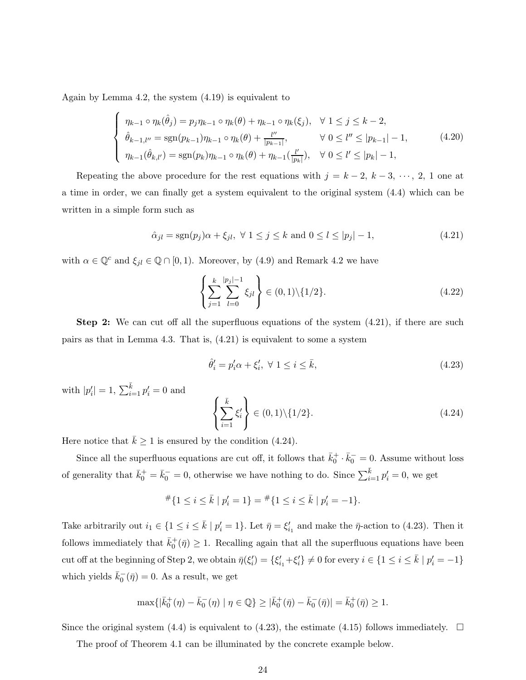Again by Lemma 4.2, the system (4.19) is equivalent to

$$
\begin{cases}\n\eta_{k-1} \circ \eta_k(\hat{\theta}_j) = p_j \eta_{k-1} \circ \eta_k(\theta) + \eta_{k-1} \circ \eta_k(\xi_j), \quad \forall \ 1 \le j \le k-2, \\
\hat{\theta}_{k-1,l''} = \text{sgn}(p_{k-1}) \eta_{k-1} \circ \eta_k(\theta) + \frac{l''}{|p_{k-1}|}, \qquad \forall \ 0 \le l'' \le |p_{k-1}| - 1, \\
\eta_{k-1}(\hat{\theta}_{k,l'}) = \text{sgn}(p_k) \eta_{k-1} \circ \eta_k(\theta) + \eta_{k-1}(\frac{l'}{|p_k|}), \quad \forall \ 0 \le l' \le |p_k| - 1,\n\end{cases} (4.20)
$$

Repeating the above procedure for the rest equations with  $j = k - 2, k - 3, \dots, 2, 1$  one at a time in order, we can finally get a system equivalent to the original system (4.4) which can be written in a simple form such as

$$
\hat{\alpha}_{jl} = \text{sgn}(p_j)\alpha + \xi_{jl}, \ \forall \ 1 \le j \le k \ \text{and} \ 0 \le l \le |p_j| - 1,\tag{4.21}
$$

with  $\alpha \in \mathbb{Q}^c$  and  $\xi_{jl} \in \mathbb{Q} \cap [0,1)$ . Moreover, by (4.9) and Remark 4.2 we have

$$
\left\{\sum_{j=1}^{k} \sum_{l=0}^{|p_j|-1} \xi_{jl}\right\} \in (0,1) \setminus \{1/2\}.
$$
\n(4.22)

Step 2: We can cut off all the superfluous equations of the system (4.21), if there are such pairs as that in Lemma 4.3. That is, (4.21) is equivalent to some a system

$$
\hat{\theta}'_i = p'_i \alpha + \xi'_i, \ \forall \ 1 \le i \le \bar{k}, \tag{4.23}
$$

with  $|p'_{i}| = 1, \sum_{i=1}^{\bar{k}} p'_{i} = 0$  and

$$
\left\{\sum_{i=1}^{\bar{k}} \xi'_i\right\} \in (0,1) \setminus \{1/2\}.
$$
\n(4.24)

Here notice that  $\bar{k} \ge 1$  is ensured by the condition (4.24).

Since all the superfluous equations are cut off, it follows that  $\bar{k}_0^+ \cdot \bar{k}_0^- = 0$ . Assume without loss of generality that  $\bar{k}_0^+ = \bar{k}_0^- = 0$ , otherwise we have nothing to do. Since  $\sum_{i=1}^{\bar{k}} p'_i = 0$ , we get

$$
\# \{ 1 \le i \le \bar{k} \mid p_i' = 1 \} = \# \{ 1 \le i \le \bar{k} \mid p_i' = -1 \}.
$$

Take arbitrarily out  $i_1 \in \{1 \le i \le \bar{k} \mid p'_i = 1\}$ . Let  $\bar{\eta} = \xi'_{i_1}$  and make the  $\bar{\eta}$ -action to (4.23). Then it follows immediately that  $\bar{k}_0^+(\bar{\eta}) \geq 1$ . Recalling again that all the superfluous equations have been cut off at the beginning of Step 2, we obtain  $\bar{\eta}(\xi_i') = \{\xi_{i_1}'+\xi_i'\}\neq 0$  for every  $i \in \{1 \leq i \leq \bar{k} \mid p_i' = -1\}$ which yields  $\bar{k}_0^-(\bar{\eta}) = 0$ . As a result, we get

$$
\max\{|\bar{k}_0^+(\eta) - \bar{k}_0^-(\eta)|\ \eta \in \mathbb{Q}\} \geq |\bar{k}_0^+(\bar{\eta}) - \bar{k}_0^-(\bar{\eta})| = \bar{k}_0^+(\bar{\eta}) \geq 1.
$$

Since the original system (4.4) is equivalent to (4.23), the estimate (4.15) follows immediately.  $\Box$ 

The proof of Theorem 4.1 can be illuminated by the concrete example below.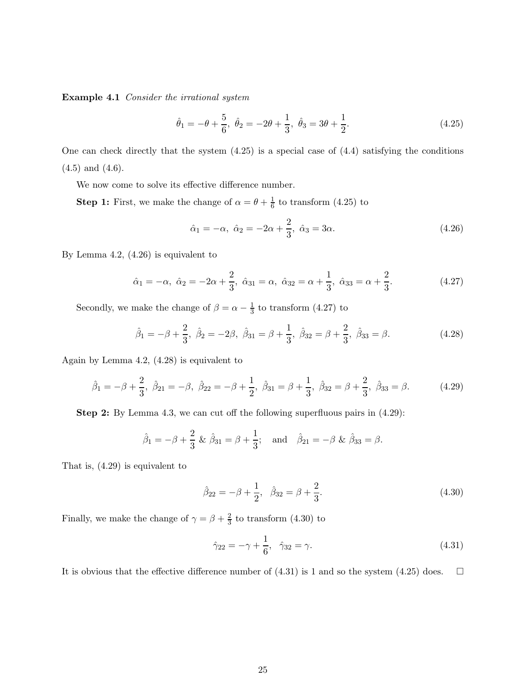Example 4.1 Consider the irrational system

$$
\hat{\theta}_1 = -\theta + \frac{5}{6}, \ \hat{\theta}_2 = -2\theta + \frac{1}{3}, \ \hat{\theta}_3 = 3\theta + \frac{1}{2}.
$$
\n(4.25)

One can check directly that the system (4.25) is a special case of (4.4) satisfying the conditions (4.5) and (4.6).

We now come to solve its effective difference number.

**Step 1:** First, we make the change of  $\alpha = \theta + \frac{1}{6}$  $\frac{1}{6}$  to transform  $(4.25)$  to

$$
\hat{\alpha}_1 = -\alpha, \ \hat{\alpha}_2 = -2\alpha + \frac{2}{3}, \ \hat{\alpha}_3 = 3\alpha. \tag{4.26}
$$

By Lemma 4.2, (4.26) is equivalent to

$$
\hat{\alpha}_1 = -\alpha, \ \hat{\alpha}_2 = -2\alpha + \frac{2}{3}, \ \hat{\alpha}_{31} = \alpha, \ \hat{\alpha}_{32} = \alpha + \frac{1}{3}, \ \hat{\alpha}_{33} = \alpha + \frac{2}{3}.
$$
 (4.27)

Secondly, we make the change of  $\beta = \alpha - \frac{1}{3}$  $\frac{1}{3}$  to transform  $(4.27)$  to

$$
\hat{\beta}_1 = -\beta + \frac{2}{3}, \ \hat{\beta}_2 = -2\beta, \ \hat{\beta}_{31} = \beta + \frac{1}{3}, \ \hat{\beta}_{32} = \beta + \frac{2}{3}, \ \hat{\beta}_{33} = \beta. \tag{4.28}
$$

Again by Lemma 4.2, (4.28) is equivalent to

$$
\hat{\beta}_1 = -\beta + \frac{2}{3}, \ \hat{\beta}_{21} = -\beta, \ \hat{\beta}_{22} = -\beta + \frac{1}{2}, \ \hat{\beta}_{31} = \beta + \frac{1}{3}, \ \hat{\beta}_{32} = \beta + \frac{2}{3}, \ \hat{\beta}_{33} = \beta. \tag{4.29}
$$

Step 2: By Lemma 4.3, we can cut off the following superfluous pairs in (4.29):

$$
\hat{\beta}_1 = -\beta + \frac{2}{3} \& \hat{\beta}_{31} = \beta + \frac{1}{3}; \text{ and } \hat{\beta}_{21} = -\beta \& \hat{\beta}_{33} = \beta.
$$

That is, (4.29) is equivalent to

$$
\hat{\beta}_{22} = -\beta + \frac{1}{2}, \quad \hat{\beta}_{32} = \beta + \frac{2}{3}.
$$
\n(4.30)

Finally, we make the change of  $\gamma = \beta + \frac{2}{3}$  $\frac{2}{3}$  to transform  $(4.30)$  to

$$
\hat{\gamma}_{22} = -\gamma + \frac{1}{6}, \quad \hat{\gamma}_{32} = \gamma. \tag{4.31}
$$

It is obvious that the effective difference number of  $(4.31)$  is 1 and so the system  $(4.25)$  does.  $\Box$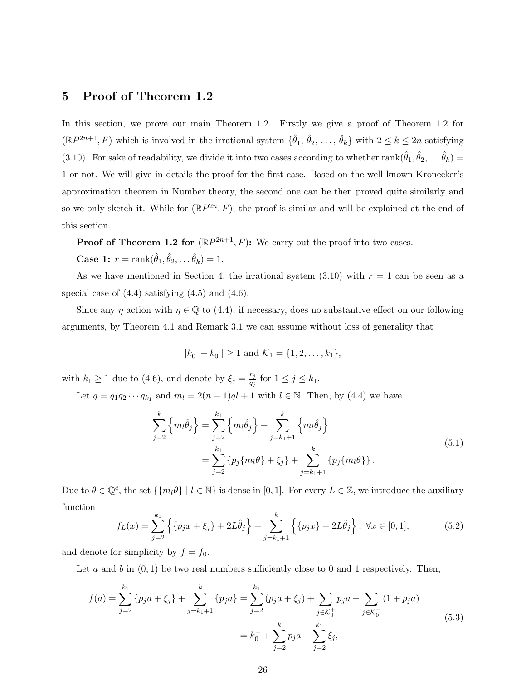# 5 Proof of Theorem 1.2

In this section, we prove our main Theorem 1.2. Firstly we give a proof of Theorem 1.2 for  $(\mathbb{R}P^{2n+1},F)$  which is involved in the irrational system  $\{\hat{\theta}_1, \hat{\theta}_2, \ldots, \hat{\theta}_k\}$  with  $2 \leq k \leq 2n$  satisfying (3.10). For sake of readability, we divide it into two cases according to whether  $rank(\hat{\theta}_1, \hat{\theta}_2, \dots \hat{\theta}_k)$ 1 or not. We will give in details the proof for the first case. Based on the well known Kronecker's approximation theorem in Number theory, the second one can be then proved quite similarly and so we only sketch it. While for  $(\mathbb{R}P^{2n}, F)$ , the proof is similar and will be explained at the end of this section.

**Proof of Theorem 1.2 for**  $(\mathbb{R}P^{2n+1}, F)$ : We carry out the proof into two cases.

Case 1: 
$$
r = \text{rank}(\hat{\theta}_1, \hat{\theta}_2, \dots \hat{\theta}_k) = 1.
$$

As we have mentioned in Section 4, the irrational system  $(3.10)$  with  $r = 1$  can be seen as a special case of  $(4.4)$  satisfying  $(4.5)$  and  $(4.6)$ .

Since any  $\eta$ -action with  $\eta \in \mathbb{Q}$  to (4.4), if necessary, does no substantive effect on our following arguments, by Theorem 4.1 and Remark 3.1 we can assume without loss of generality that

$$
|k_0^+ - k_0^-| \ge 1
$$
 and  $\mathcal{K}_1 = \{1, 2, ..., k_1\},\$ 

with  $k_1 \geq 1$  due to (4.6), and denote by  $\xi_j = \frac{r_j}{q_j}$  $\frac{r_j}{q_j}$  for  $1 \leq j \leq k_1$ .

Let  $\bar{q} = q_1 q_2 \cdots q_{k_1}$  and  $m_l = 2(n+1)\bar{q}l + 1$  with  $l \in \mathbb{N}$ . Then, by (4.4) we have

$$
\sum_{j=2}^{k} \left\{ m_{l} \hat{\theta}_{j} \right\} = \sum_{j=2}^{k_{1}} \left\{ m_{l} \hat{\theta}_{j} \right\} + \sum_{j=k_{1}+1}^{k} \left\{ m_{l} \hat{\theta}_{j} \right\}
$$
\n
$$
= \sum_{j=2}^{k_{1}} \left\{ p_{j} \{ m_{l} \theta \} + \xi_{j} \right\} + \sum_{j=k_{1}+1}^{k} \left\{ p_{j} \{ m_{l} \theta \} \right\}. \tag{5.1}
$$

Due to  $\theta \in \mathbb{Q}^c$ , the set  $\{\{m_l\theta\} \mid l \in \mathbb{N}\}\$ is dense in [0, 1]. For every  $L \in \mathbb{Z}$ , we introduce the auxiliary function

$$
f_L(x) = \sum_{j=2}^{k_1} \left\{ \{p_j x + \xi_j\} + 2L\hat{\theta}_j \right\} + \sum_{j=k_1+1}^{k} \left\{ \{p_j x\} + 2L\hat{\theta}_j \right\}, \ \forall x \in [0,1],
$$
 (5.2)

and denote for simplicity by  $f = f_0$ .

Let a and b in  $(0, 1)$  be two real numbers sufficiently close to 0 and 1 respectively. Then,

$$
f(a) = \sum_{j=2}^{k_1} \{p_j a + \xi_j\} + \sum_{j=k_1+1}^{k} \{p_j a\} = \sum_{j=2}^{k_1} (p_j a + \xi_j) + \sum_{j \in \mathcal{K}_0^+} p_j a + \sum_{j \in \mathcal{K}_0^-} (1 + p_j a)
$$
  
=  $k_0^- + \sum_{j=2}^k p_j a + \sum_{j=2}^{k_1} \xi_j,$  (5.3)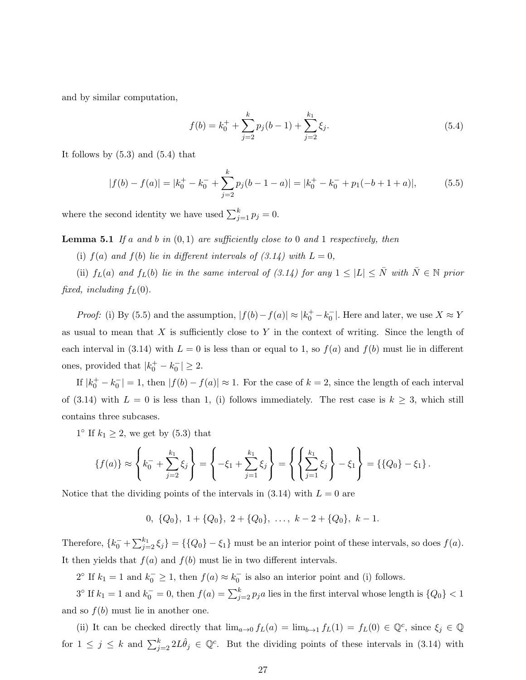and by similar computation,

$$
f(b) = k_0^+ + \sum_{j=2}^k p_j(b-1) + \sum_{j=2}^{k_1} \xi_j.
$$
 (5.4)

It follows by  $(5.3)$  and  $(5.4)$  that

$$
|f(b) - f(a)| = |k_0^+ - k_0^-| + \sum_{j=2}^k p_j(b-1-a)| = |k_0^+ - k_0^-| + p_1(-b+1+a)|,
$$
 (5.5)

where the second identity we have used  $\sum_{j=1}^{k} p_j = 0$ .

**Lemma 5.1** If a and b in  $(0,1)$  are sufficiently close to 0 and 1 respectively, then

(i)  $f(a)$  and  $f(b)$  lie in different intervals of  $(3.14)$  with  $L = 0$ ,

(ii)  $f_L(a)$  and  $f_L(b)$  lie in the same interval of (3.14) for any  $1 \leq |L| \leq \overline{N}$  with  $\overline{N} \in \mathbb{N}$  prior fixed, including  $f_L(0)$ .

*Proof:* (i) By (5.5) and the assumption,  $|f(b) - f(a)| \approx |k_0^+ - k_0^-|$ . Here and later, we use  $X \approx Y$ as usual to mean that  $X$  is sufficiently close to  $Y$  in the context of writing. Since the length of each interval in (3.14) with  $L = 0$  is less than or equal to 1, so  $f(a)$  and  $f(b)$  must lie in different ones, provided that  $|k_0^+ - k_0^-| \geq 2$ .

If  $|k_0^+ - k_0^-| = 1$ , then  $|f(b) - f(a)| \approx 1$ . For the case of  $k = 2$ , since the length of each interval of (3.14) with  $L = 0$  is less than 1, (i) follows immediately. The rest case is  $k \geq 3$ , which still contains three subcases.

 $1^{\circ}$  If  $k_1 \geq 2$ , we get by (5.3) that

$$
\{f(a)\} \approx \left\{k_0^- + \sum_{j=2}^{k_1} \xi_j\right\} = \left\{-\xi_1 + \sum_{j=1}^{k_1} \xi_j\right\} = \left\{\left\{\sum_{j=1}^{k_1} \xi_j\right\} - \xi_1\right\} = \left\{\{Q_0\} - \xi_1\right\}.
$$

Notice that the dividing points of the intervals in  $(3.14)$  with  $L = 0$  are

0,  $\{Q_0\}$ ,  $1 + \{Q_0\}$ ,  $2 + \{Q_0\}$ , ...,  $k - 2 + \{Q_0\}$ ,  $k - 1$ .

Therefore,  $\{k_0^- + \sum_{j=2}^{k_1} \xi_j\} = \{\{Q_0\} - \xi_1\}$  must be an interior point of these intervals, so does  $f(a)$ . It then yields that  $f(a)$  and  $f(b)$  must lie in two different intervals.

 $2^{\circ}$  If  $k_1 = 1$  and  $k_0^- \ge 1$ , then  $f(a) \approx k_0^-$  is also an interior point and (i) follows.

 $3^{\circ}$  If  $k_1 = 1$  and  $k_0^- = 0$ , then  $f(a) = \sum_{j=2}^{k} p_j a$  lies in the first interval whose length is  $\{Q_0\} < 1$ and so  $f(b)$  must lie in another one.

(ii) It can be checked directly that  $\lim_{a\to 0} f_L(a) = \lim_{b\to 1} f_L(1) = f_L(0) \in \mathbb{Q}^c$ , since  $\xi_j \in \mathbb{Q}$ for  $1 \leq j \leq k$  and  $\sum_{j=2}^{k} 2L\hat{\theta}_j \in \mathbb{Q}^c$ . But the dividing points of these intervals in (3.14) with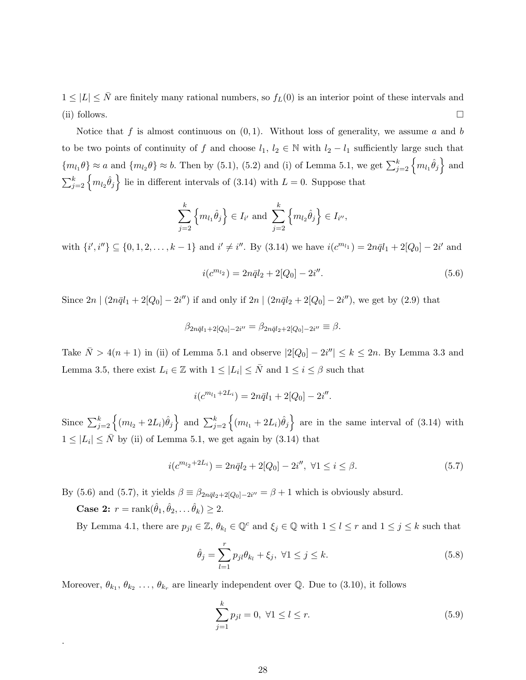$1 \leq |L| \leq \bar{N}$  are finitely many rational numbers, so  $f_L(0)$  is an interior point of these intervals and (ii) follows.  $\Box$ 

Notice that f is almost continuous on  $(0, 1)$ . Without loss of generality, we assume a and b to be two points of continuity of f and choose  $l_1, l_2 \in \mathbb{N}$  with  $l_2 - l_1$  sufficiently large such that  ${m_{l_1}\theta} \approx a$  and  ${m_{l_2}\theta} \approx b$ . Then by (5.1), (5.2) and (i) of Lemma 5.1, we get  $\sum_{j=2}^{k} {m_{l_1}\hat{\theta}_j}$  and  $\sum_{j=2}^{k} \left\{ m_{l_2} \hat{\theta}_j \right\}$  lie in different intervals of (3.14) with  $L = 0$ . Suppose that

$$
\sum_{j=2}^{k} \left\{ m_{l_1} \hat{\theta}_j \right\} \in I_{i'} \text{ and } \sum_{j=2}^{k} \left\{ m_{l_2} \hat{\theta}_j \right\} \in I_{i''},
$$

with  $\{i',i''\}\subseteq \{0,1,2,\ldots,k-1\}$  and  $i'\neq i''$ . By  $(3.14)$  we have  $i(c^{m_{l_1}})=2n\bar{q}l_1+2[Q_0]-2i'$  and

$$
i(c^{m_{l_2}}) = 2n\bar{q}l_2 + 2[Q_0] - 2i''.
$$
\n(5.6)

Since  $2n \mid (2n\bar{q}l_1 + 2[Q_0] - 2i'')$  if and only if  $2n \mid (2n\bar{q}l_2 + 2[Q_0] - 2i'')$ , we get by  $(2.9)$  that

$$
\beta_{2n\bar{q}l_1+2[Q_0]-2i''} = \beta_{2n\bar{q}l_2+2[Q_0]-2i''} \equiv \beta.
$$

Take  $\bar{N} > 4(n + 1)$  in (ii) of Lemma 5.1 and observe  $|2[Q_0] - 2i''| \le k \le 2n$ . By Lemma 3.3 and Lemma 3.5, there exist  $L_i \in \mathbb{Z}$  with  $1 \leq |L_i| \leq \bar{N}$  and  $1 \leq i \leq \beta$  such that

$$
i(c^{m_{l_1}+2L_i}) = 2n\bar{q}l_1 + 2[Q_0] - 2i''.
$$

Since  $\sum_{j=2}^k \left\{ (m_{l_2} + 2L_i) \hat{\theta}_j \right\}$  and  $\sum_{j=2}^k \left\{ (m_{l_1} + 2L_i) \hat{\theta}_j \right\}$  are in the same interval of (3.14) with  $1 \leq |L_i| \leq \bar{N}$  by (ii) of Lemma 5.1, we get again by (3.14) that

$$
i(c^{m_{l_2}+2L_i}) = 2n\bar{q}l_2 + 2[Q_0] - 2i'', \ \forall 1 \le i \le \beta.
$$
\n(5.7)

By (5.6) and (5.7), it yields  $\beta \equiv \beta_{2n\bar{q}l_2+2[Q_0]-2i''} = \beta+1$  which is obviously absurd.

**Case 2:**  $r = \text{rank}(\hat{\theta}_1, \hat{\theta}_2, \dots, \hat{\theta}_k) \ge 2.$ 

.

By Lemma 4.1, there are  $p_{jl} \in \mathbb{Z}$ ,  $\theta_{k_l} \in \mathbb{Q}^c$  and  $\xi_j \in \mathbb{Q}$  with  $1 \leq l \leq r$  and  $1 \leq j \leq k$  such that

$$
\hat{\theta}_j = \sum_{l=1}^r p_{jl} \theta_{k_l} + \xi_j, \ \forall 1 \le j \le k. \tag{5.8}
$$

Moreover,  $\theta_{k_1}, \theta_{k_2}, \ldots, \theta_{k_r}$  are linearly independent over Q. Due to (3.10), it follows

$$
\sum_{j=1}^{k} p_{jl} = 0, \ \forall 1 \le l \le r.
$$
\n(5.9)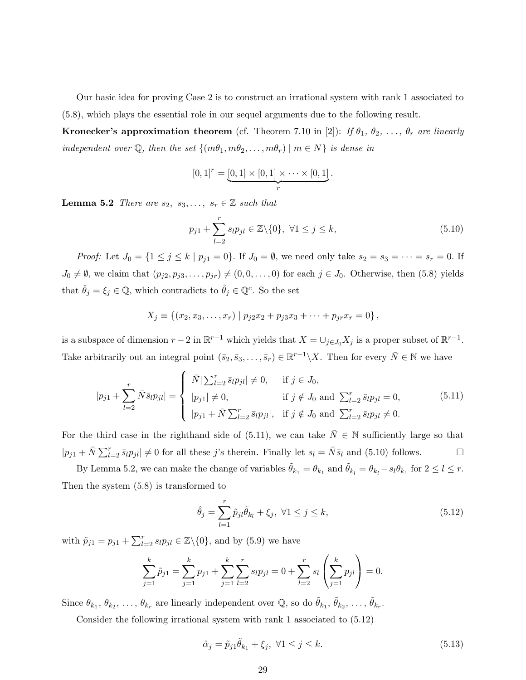Our basic idea for proving Case 2 is to construct an irrational system with rank 1 associated to (5.8), which plays the essential role in our sequel arguments due to the following result.

**Kronecker's approximation theorem** (cf. Theorem 7.10 in [2]): If  $\theta_1$ ,  $\theta_2$ , ...,  $\theta_r$  are linearly independent over  $\mathbb{Q}$ , then the set  $\{(m\theta_1, m\theta_2, \ldots, m\theta_r) \mid m \in N\}$  is dense in

$$
[0,1]^r = \underbrace{[0,1] \times [0,1] \times \cdots \times [0,1]}_{r}.
$$

**Lemma 5.2** There are  $s_2, s_3, \ldots, s_r \in \mathbb{Z}$  such that

$$
p_{j1} + \sum_{l=2}^{r} s_l p_{jl} \in \mathbb{Z} \setminus \{0\}, \ \forall 1 \le j \le k,
$$
\n
$$
(5.10)
$$

*Proof:* Let  $J_0 = \{1 \le j \le k \mid p_{j1} = 0\}$ . If  $J_0 = \emptyset$ , we need only take  $s_2 = s_3 = \cdots = s_r = 0$ . If  $J_0 \neq \emptyset$ , we claim that  $(p_{j2}, p_{j3}, \ldots, p_{jr}) \neq (0, 0, \ldots, 0)$  for each  $j \in J_0$ . Otherwise, then (5.8) yields that  $\hat{\theta}_j = \xi_j \in \mathbb{Q}$ , which contradicts to  $\hat{\theta}_j \in \mathbb{Q}^c$ . So the set

$$
X_j \equiv \{(x_2, x_3, \dots, x_r) \mid p_{j2}x_2 + p_{j3}x_3 + \dots + p_{jr}x_r = 0\},\,
$$

is a subspace of dimension  $r-2$  in  $\mathbb{R}^{r-1}$  which yields that  $X = \bigcup_{j \in J_0} X_j$  is a proper subset of  $\mathbb{R}^{r-1}$ . Take arbitrarily out an integral point  $(\bar{s}_2, \bar{s}_3, \ldots, \bar{s}_r) \in \mathbb{R}^{r-1} \setminus X$ . Then for every  $\bar{N} \in \mathbb{N}$  we have

$$
|p_{j1} + \sum_{l=2}^{r} \bar{N} \bar{s}_{l} p_{jl}| = \begin{cases} \bar{N}|\sum_{l=2}^{r} \bar{s}_{l} p_{jl}| \neq 0, & \text{if } j \in J_0, \\ |p_{j1}| \neq 0, & \text{if } j \notin J_0 \text{ and } \sum_{l=2}^{r} \bar{s}_{l} p_{jl} = 0, \\ |p_{j1} + \bar{N} \sum_{l=2}^{r} \bar{s}_{l} p_{jl}|, & \text{if } j \notin J_0 \text{ and } \sum_{l=2}^{r} \bar{s}_{l} p_{jl} \neq 0. \end{cases}
$$
(5.11)

For the third case in the righthand side of (5.11), we can take  $\bar{N} \in \mathbb{N}$  sufficiently large so that  $|p_{j1} + \bar{N} \sum_{l=2}^r \bar{s}_l p_{jl}| \neq 0$  for all these j's therein. Finally let  $s_l = \bar{N} \bar{s}_l$  and (5.10) follows.

By Lemma 5.2, we can make the change of variables  $\tilde{\theta}_{k_1} = \theta_{k_1}$  and  $\tilde{\theta}_{k_l} = \theta_{k_l} - s_l \theta_{k_1}$  for  $2 \leq l \leq r$ . Then the system (5.8) is transformed to

$$
\hat{\theta}_j = \sum_{l=1}^r \tilde{p}_{jl} \tilde{\theta}_{k_l} + \xi_j, \ \forall 1 \le j \le k,
$$
\n(5.12)

with  $\tilde{p}_{j1} = p_{j1} + \sum_{l=2}^{r} s_l p_{jl} \in \mathbb{Z} \setminus \{0\}$ , and by (5.9) we have

$$
\sum_{j=1}^{k} \tilde{p}_{j1} = \sum_{j=1}^{k} p_{j1} + \sum_{j=1}^{k} \sum_{l=2}^{r} s_l p_{jl} = 0 + \sum_{l=2}^{r} s_l \left( \sum_{j=1}^{k} p_{jl} \right) = 0.
$$

Since  $\theta_{k_1}, \theta_{k_2}, \ldots, \theta_{k_r}$  are linearly independent over  $\mathbb{Q}$ , so do  $\tilde{\theta}_{k_1}, \tilde{\theta}_{k_2}, \ldots, \tilde{\theta}_{k_r}$ .

Consider the following irrational system with rank 1 associated to (5.12)

$$
\hat{\alpha}_j = \tilde{p}_{j1}\tilde{\theta}_{k_1} + \xi_j, \ \forall 1 \le j \le k. \tag{5.13}
$$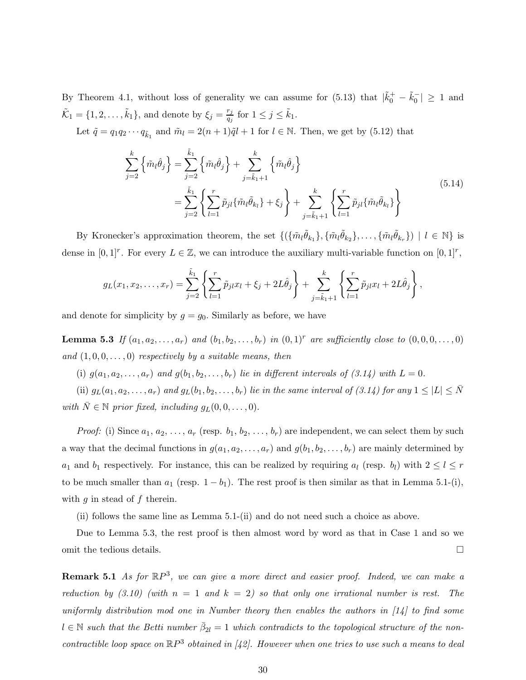By Theorem 4.1, without loss of generality we can assume for  $(5.13)$  that  $|\tilde{k}_0^+ - \tilde{k}_0^-| \ge 1$  and  $\tilde{\mathcal{K}}_1 = \{1, 2, \ldots, \tilde{k}_1\},$  and denote by  $\xi_j = \frac{r_j}{q_j}$  $\frac{r_j}{q_j}$  for  $1 \leq j \leq \tilde{k}_1$ .

Let  $\tilde{q} = q_1 q_2 \cdots q_{\tilde{k}_1}$  and  $\tilde{m}_l = 2(n+1)\tilde{q}_l + 1$  for  $l \in \mathbb{N}$ . Then, we get by (5.12) that

$$
\sum_{j=2}^{k} \left\{ \tilde{m}_{l} \hat{\theta}_{j} \right\} = \sum_{j=2}^{\tilde{k}_{1}} \left\{ \tilde{m}_{l} \hat{\theta}_{j} \right\} + \sum_{j=\tilde{k}_{1}+1}^{k} \left\{ \tilde{m}_{l} \hat{\theta}_{j} \right\}
$$
\n
$$
= \sum_{j=2}^{\tilde{k}_{1}} \left\{ \sum_{l=1}^{r} \tilde{p}_{jl} \{ \tilde{m}_{l} \tilde{\theta}_{k_{l}} \} + \xi_{j} \right\} + \sum_{j=\tilde{k}_{1}+1}^{k} \left\{ \sum_{l=1}^{r} \tilde{p}_{jl} \{ \tilde{m}_{l} \tilde{\theta}_{k_{l}} \} \right\}
$$
\n(5.14)

By Kronecker's approximation theorem, the set  $\{(\{\tilde{m}_l \tilde{\theta}_{k_1}\}, \{\tilde{m}_l \tilde{\theta}_{k_2}\}, \ldots, \{\tilde{m}_l \tilde{\theta}_{k_r}\}) \mid l \in \mathbb{N}\}\)$  is dense in  $[0,1]^r$ . For every  $L \in \mathbb{Z}$ , we can introduce the auxiliary multi-variable function on  $[0,1]^r$ ,

$$
g_L(x_1, x_2, \dots, x_r) = \sum_{j=2}^{\tilde{k}_1} \left\{ \sum_{l=1}^r \tilde{p}_{jl} x_l + \xi_j + 2L \hat{\theta}_j \right\} + \sum_{j=\tilde{k}_1+1}^k \left\{ \sum_{l=1}^r \tilde{p}_{jl} x_l + 2L \hat{\theta}_j \right\},
$$

and denote for simplicity by  $g = g_0$ . Similarly as before, we have

**Lemma 5.3** If  $(a_1, a_2, ..., a_r)$  and  $(b_1, b_2, ..., b_r)$  in  $(0, 1)^r$  are sufficiently close to  $(0, 0, 0, ..., 0)$ and  $(1, 0, 0, \ldots, 0)$  respectively by a suitable means, then

(i)  $g(a_1, a_2, \ldots, a_r)$  and  $g(b_1, b_2, \ldots, b_r)$  lie in different intervals of  $(3.14)$  with  $L = 0$ .

(ii)  $g_L(a_1, a_2, \ldots, a_r)$  and  $g_L(b_1, b_2, \ldots, b_r)$  lie in the same interval of (3.14) for any  $1 \leq |L| \leq \overline{N}$ with  $\bar{N} \in \mathbb{N}$  prior fixed, including  $g_L(0, 0, \ldots, 0)$ .

*Proof:* (i) Since  $a_1, a_2, \ldots, a_r$  (resp.  $b_1, b_2, \ldots, b_r$ ) are independent, we can select them by such a way that the decimal functions in  $g(a_1, a_2, \ldots, a_r)$  and  $g(b_1, b_2, \ldots, b_r)$  are mainly determined by  $a_1$  and  $b_1$  respectively. For instance, this can be realized by requiring  $a_l$  (resp.  $b_l$ ) with  $2 \leq l \leq r$ to be much smaller than  $a_1$  (resp.  $1 - b_1$ ). The rest proof is then similar as that in Lemma 5.1-(i), with  $g$  in stead of  $f$  therein.

(ii) follows the same line as Lemma 5.1-(ii) and do not need such a choice as above.

Due to Lemma 5.3, the rest proof is then almost word by word as that in Case 1 and so we omit the tedious details.

**Remark 5.1** As for  $\mathbb{R}P^3$ , we can give a more direct and easier proof. Indeed, we can make a reduction by  $(3.10)$  (with  $n = 1$  and  $k = 2$ ) so that only one irrational number is rest. The uniformly distribution mod one in Number theory then enables the authors in [14] to find some  $l \in \mathbb{N}$  such that the Betti number  $\bar{\beta}_{2l} = 1$  which contradicts to the topological structure of the noncontractible loop space on  $\mathbb{R}P^3$  obtained in [42]. However when one tries to use such a means to deal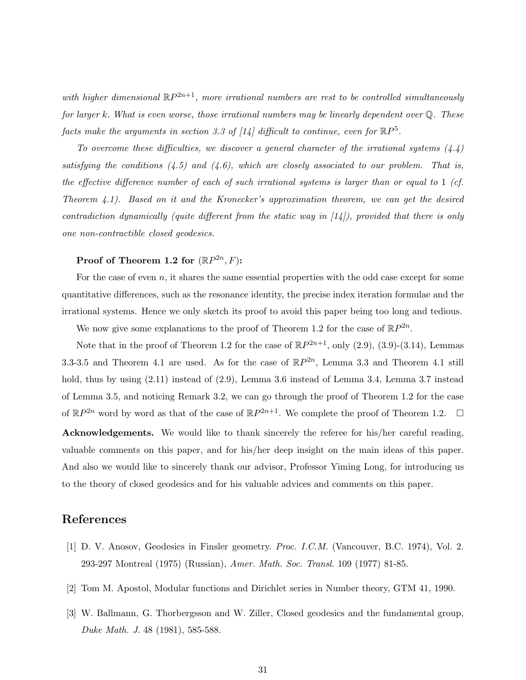with higher dimensional  $\mathbb{R}P^{2n+1}$ , more irrational numbers are rest to be controlled simultaneously for larger k. What is even worse, those irrational numbers may be linearly dependent over  $\mathbb{Q}$ . These facts make the arguments in section 3.3 of [14] difficult to continue, even for  $\mathbb{R}P^5$ .

To overcome these difficulties, we discover a general character of the irrational systems  $(4.4)$ satisfying the conditions  $(4.5)$  and  $(4.6)$ , which are closely associated to our problem. That is, the effective difference number of each of such irrational systems is larger than or equal to 1 (cf. Theorem 4.1). Based on it and the Kronecker's approximation theorem, we can get the desired contradiction dynamically (quite different from the static way in [14]), provided that there is only one non-contractible closed geodesics.

#### Proof of Theorem 1.2 for  $(\mathbb{R}P^{2n},F)$ :

For the case of even  $n$ , it shares the same essential properties with the odd case except for some quantitative differences, such as the resonance identity, the precise index iteration formulae and the irrational systems. Hence we only sketch its proof to avoid this paper being too long and tedious.

We now give some explanations to the proof of Theorem 1.2 for the case of  $\mathbb{R}P^{2n}$ .

Note that in the proof of Theorem 1.2 for the case of  $\mathbb{R}P^{2n+1}$ , only  $(2.9)$ ,  $(3.9)-(3.14)$ , Lemmas 3.3-3.5 and Theorem 4.1 are used. As for the case of  $\mathbb{R}P^{2n}$ , Lemma 3.3 and Theorem 4.1 still hold, thus by using  $(2.11)$  instead of  $(2.9)$ , Lemma 3.6 instead of Lemma 3.4, Lemma 3.7 instead of Lemma 3.5, and noticing Remark 3.2, we can go through the proof of Theorem 1.2 for the case of  $\mathbb{R}P^{2n}$  word by word as that of the case of  $\mathbb{R}P^{2n+1}$ . We complete the proof of Theorem 1.2.  $\Box$ Acknowledgements. We would like to thank sincerely the referee for his/her careful reading, valuable comments on this paper, and for his/her deep insight on the main ideas of this paper. And also we would like to sincerely thank our advisor, Professor Yiming Long, for introducing us to the theory of closed geodesics and for his valuable advices and comments on this paper.

#### References

- [1] D. V. Anosov, Geodesics in Finsler geometry. Proc. I.C.M. (Vancouver, B.C. 1974), Vol. 2. 293-297 Montreal (1975) (Russian), Amer. Math. Soc. Transl. 109 (1977) 81-85.
- [2] Tom M. Apostol, Modular functions and Dirichlet series in Number theory, GTM 41, 1990.
- [3] W. Ballmann, G. Thorbergsson and W. Ziller, Closed geodesics and the fundamental group, Duke Math. J. 48 (1981), 585-588.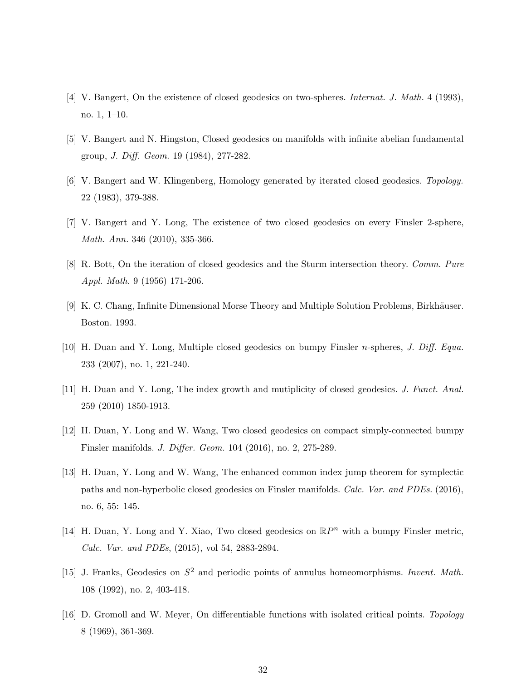- [4] V. Bangert, On the existence of closed geodesics on two-spheres. Internat. J. Math. 4 (1993), no. 1, 1–10.
- [5] V. Bangert and N. Hingston, Closed geodesics on manifolds with infinite abelian fundamental group, J. Diff. Geom. 19 (1984), 277-282.
- [6] V. Bangert and W. Klingenberg, Homology generated by iterated closed geodesics. Topology. 22 (1983), 379-388.
- [7] V. Bangert and Y. Long, The existence of two closed geodesics on every Finsler 2-sphere, Math. Ann. 346 (2010), 335-366.
- [8] R. Bott, On the iteration of closed geodesics and the Sturm intersection theory. Comm. Pure Appl. Math. 9 (1956) 171-206.
- [9] K. C. Chang, Infinite Dimensional Morse Theory and Multiple Solution Problems, Birkhäuser. Boston. 1993.
- [10] H. Duan and Y. Long, Multiple closed geodesics on bumpy Finsler n-spheres, J. Diff. Equa. 233 (2007), no. 1, 221-240.
- [11] H. Duan and Y. Long, The index growth and mutiplicity of closed geodesics. J. Funct. Anal. 259 (2010) 1850-1913.
- [12] H. Duan, Y. Long and W. Wang, Two closed geodesics on compact simply-connected bumpy Finsler manifolds. J. Differ. Geom. 104 (2016), no. 2, 275-289.
- [13] H. Duan, Y. Long and W. Wang, The enhanced common index jump theorem for symplectic paths and non-hyperbolic closed geodesics on Finsler manifolds. Calc. Var. and PDEs. (2016), no. 6, 55: 145.
- [14] H. Duan, Y. Long and Y. Xiao, Two closed geodesics on  $\mathbb{R}P^n$  with a bumpy Finsler metric, Calc. Var. and PDEs, (2015), vol 54, 2883-2894.
- [15] J. Franks, Geodesics on  $S^2$  and periodic points of annulus homeomorphisms. Invent. Math. 108 (1992), no. 2, 403-418.
- [16] D. Gromoll and W. Meyer, On differentiable functions with isolated critical points. Topology 8 (1969), 361-369.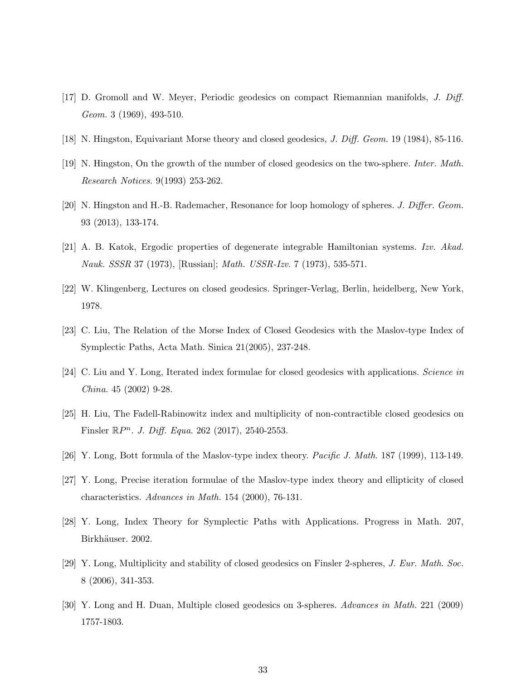- [17] D. Gromoll and W. Meyer, Periodic geodesics on compact Riemannian manifolds, J. Diff. Geom. 3 (1969), 493-510.
- [18] N. Hingston, Equivariant Morse theory and closed geodesics, J. Diff. Geom. 19 (1984), 85-116.
- [19] N. Hingston, On the growth of the number of closed geodesics on the two-sphere. Inter. Math. Research Notices. 9(1993) 253-262.
- [20] N. Hingston and H.-B. Rademacher, Resonance for loop homology of spheres. J. Differ. Geom. 93 (2013), 133-174.
- [21] A. B. Katok, Ergodic properties of degenerate integrable Hamiltonian systems. Izv. Akad. Nauk. SSSR 37 (1973), [Russian]; Math. USSR-Izv. 7 (1973), 535-571.
- [22] W. Klingenberg, Lectures on closed geodesics. Springer-Verlag, Berlin, heidelberg, New York, 1978.
- [23] C. Liu, The Relation of the Morse Index of Closed Geodesics with the Maslov-type Index of Symplectic Paths, Acta Math. Sinica 21(2005), 237-248.
- [24] C. Liu and Y. Long, Iterated index formulae for closed geodesics with applications. Science in China. 45 (2002) 9-28.
- [25] H. Liu, The Fadell-Rabinowitz index and multiplicity of non-contractible closed geodesics on Finsler  $\mathbb{R}P^n$ . J. Diff. Equa. 262 (2017), 2540-2553.
- [26] Y. Long, Bott formula of the Maslov-type index theory. Pacific J. Math. 187 (1999), 113-149.
- [27] Y. Long, Precise iteration formulae of the Maslov-type index theory and ellipticity of closed characteristics. Advances in Math. 154 (2000), 76-131.
- [28] Y. Long, Index Theory for Symplectic Paths with Applications. Progress in Math. 207, Birkhäuser. 2002.
- [29] Y. Long, Multiplicity and stability of closed geodesics on Finsler 2-spheres, J. Eur. Math. Soc. 8 (2006), 341-353.
- [30] Y. Long and H. Duan, Multiple closed geodesics on 3-spheres. Advances in Math. 221 (2009) 1757-1803.